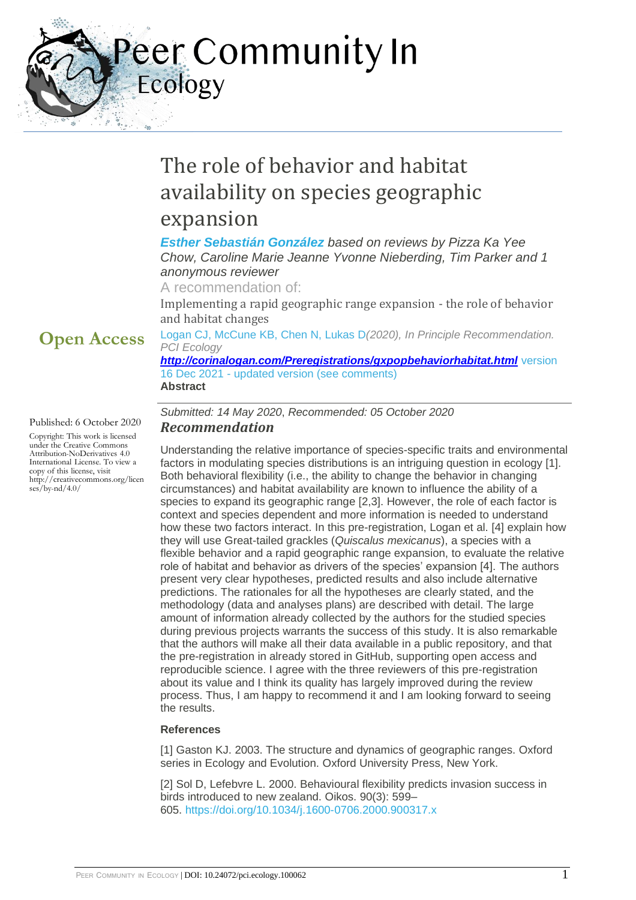eer Community In Ecology

# The role of behavior and habitat availability on species geographic expansion

### *[Esther Sebastián González](https://ecology.peercommunityin.org/public/user_public_page?userId=713) based on reviews by Pizza Ka Yee Chow, Caroline Marie Jeanne Yvonne Nieberding, Tim Parker and 1 anonymous reviewer*

A recommendation of:

Implementing a rapid geographic range expansion - the role of behavior and habitat changes

# **Open Access**

Published: 6 October 2020

Copyright: This work is licensed under the Creative Commons Attribution-NoDerivatives 4.0 International License. To view a copy of this license, visit http://creativecommons.org/licen ses/by-nd/4.0/

### Logan CJ, McCune KB, Chen N, Lukas D*(2020), In Principle Recommendation. PCI Ecology*

*<http://corinalogan.com/Preregistrations/gxpopbehaviorhabitat.html>* version 16 Dec 2021 - updated version (see comments) **Abstract**

*Submitted: 14 May 2020*, *Recommended: 05 October 2020 Recommendation*

Understanding the relative importance of species-specific traits and environmental factors in modulating species distributions is an intriguing question in ecology [1]. Both behavioral flexibility (i.e., the ability to change the behavior in changing circumstances) and habitat availability are known to influence the ability of a species to expand its geographic range [2,3]. However, the role of each factor is context and species dependent and more information is needed to understand how these two factors interact. In this pre-registration, Logan et al. [4] explain how they will use Great-tailed grackles (*Quiscalus mexicanus*), a species with a flexible behavior and a rapid geographic range expansion, to evaluate the relative role of habitat and behavior as drivers of the species' expansion [4]. The authors present very clear hypotheses, predicted results and also include alternative predictions. The rationales for all the hypotheses are clearly stated, and the methodology (data and analyses plans) are described with detail. The large amount of information already collected by the authors for the studied species during previous projects warrants the success of this study. It is also remarkable that the authors will make all their data available in a public repository, and that the pre-registration in already stored in GitHub, supporting open access and reproducible science. I agree with the three reviewers of this pre-registration about its value and I think its quality has largely improved during the review process. Thus, I am happy to recommend it and I am looking forward to seeing the results.

### **References**

[1] Gaston KJ. 2003. The structure and dynamics of geographic ranges. Oxford series in Ecology and Evolution. Oxford University Press, New York.

[2] Sol D, Lefebvre L. 2000. Behavioural flexibility predicts invasion success in birds introduced to new zealand. Oikos. 90(3): 599– 605. <https://doi.org/10.1034/j.1600-0706.2000.900317.x>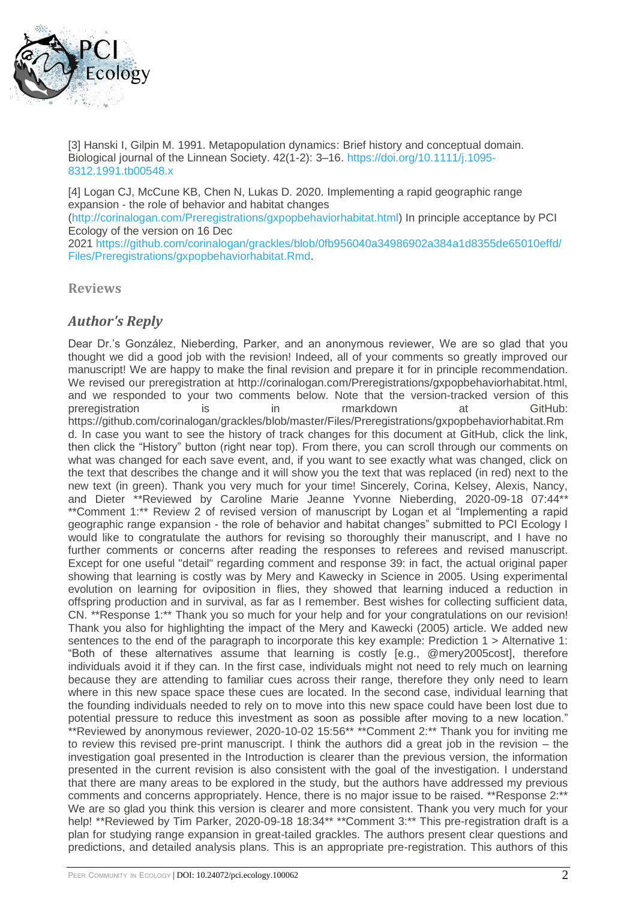

[3] Hanski I, Gilpin M. 1991. Metapopulation dynamics: Brief history and conceptual domain. Biological journal of the Linnean Society. 42(1-2): 3–16. [https://doi.org/10.1111/j.1095-](https://doi.org/10.1111/j.1095-8312.1991.tb00548.x) [8312.1991.tb00548.x](https://doi.org/10.1111/j.1095-8312.1991.tb00548.x)

[4] Logan CJ, McCune KB, Chen N, Lukas D. 2020. Implementing a rapid geographic range expansion - the role of behavior and habitat changes

[\(http://corinalogan.com/Preregistrations/gxpopbehaviorhabitat.html\)](http://corinalogan.com/Preregistrations/gxpopbehaviorhabitat.html) In principle acceptance by PCI Ecology of the version on 16 Dec

2021 [https://github.com/corinalogan/grackles/blob/0fb956040a34986902a384a1d8355de65010effd/](https://github.com/corinalogan/grackles/blob/0fb956040a34986902a384a1d8355de65010effd/Files/Preregistrations/gxpopbehaviorhabitat.Rmd) [Files/Preregistrations/gxpopbehaviorhabitat.Rmd.](https://github.com/corinalogan/grackles/blob/0fb956040a34986902a384a1d8355de65010effd/Files/Preregistrations/gxpopbehaviorhabitat.Rmd)

**Reviews**

### *Author's Reply*

Dear Dr.'s González, Nieberding, Parker, and an anonymous reviewer, We are so glad that you thought we did a good job with the revision! Indeed, all of your comments so greatly improved our manuscript! We are happy to make the final revision and prepare it for in principle recommendation. We revised our preregistration at http://corinalogan.com/Preregistrations/gxpopbehaviorhabitat.html, and we responded to your two comments below. Note that the version-tracked version of this preregistration is in rmarkdown at GitHub: https://github.com/corinalogan/grackles/blob/master/Files/Preregistrations/gxpopbehaviorhabitat.Rm d. In case you want to see the history of track changes for this document at GitHub, click the link, then click the "History" button (right near top). From there, you can scroll through our comments on what was changed for each save event, and, if you want to see exactly what was changed, click on the text that describes the change and it will show you the text that was replaced (in red) next to the new text (in green). Thank you very much for your time! Sincerely, Corina, Kelsey, Alexis, Nancy, and Dieter \*\*Reviewed by Caroline Marie Jeanne Yvonne Nieberding, 2020-09-18 07:44\*\* \*\*Comment 1:\*\* Review 2 of revised version of manuscript by Logan et al "Implementing a rapid geographic range expansion - the role of behavior and habitat changes" submitted to PCI Ecology I would like to congratulate the authors for revising so thoroughly their manuscript, and I have no further comments or concerns after reading the responses to referees and revised manuscript. Except for one useful "detail" regarding comment and response 39: in fact, the actual original paper showing that learning is costly was by Mery and Kawecky in Science in 2005. Using experimental evolution on learning for oviposition in flies, they showed that learning induced a reduction in offspring production and in survival, as far as I remember. Best wishes for collecting sufficient data, CN. \*\*Response 1:\*\* Thank you so much for your help and for your congratulations on our revision! Thank you also for highlighting the impact of the Mery and Kawecki (2005) article. We added new sentences to the end of the paragraph to incorporate this key example: Prediction 1 > Alternative 1: "Both of these alternatives assume that learning is costly [e.g., @mery2005cost], therefore individuals avoid it if they can. In the first case, individuals might not need to rely much on learning because they are attending to familiar cues across their range, therefore they only need to learn where in this new space space these cues are located. In the second case, individual learning that the founding individuals needed to rely on to move into this new space could have been lost due to potential pressure to reduce this investment as soon as possible after moving to a new location." \*\*Reviewed by anonymous reviewer, 2020-10-02 15:56\*\* \*\*Comment 2:\*\* Thank you for inviting me to review this revised pre-print manuscript. I think the authors did a great job in the revision – the investigation goal presented in the Introduction is clearer than the previous version, the information presented in the current revision is also consistent with the goal of the investigation. I understand that there are many areas to be explored in the study, but the authors have addressed my previous comments and concerns appropriately. Hence, there is no major issue to be raised. \*\*Response 2:\*\* We are so glad you think this version is clearer and more consistent. Thank you very much for your help! \*\*Reviewed by Tim Parker, 2020-09-18 18:34\*\* \*\*Comment 3:\*\* This pre-registration draft is a plan for studying range expansion in great-tailed grackles. The authors present clear questions and predictions, and detailed analysis plans. This is an appropriate pre-registration. This authors of this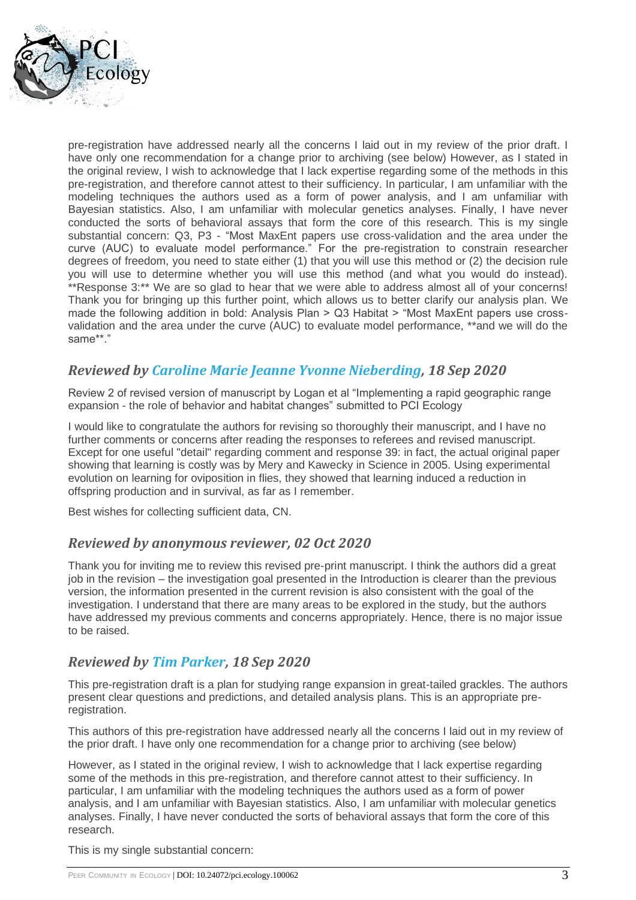

pre-registration have addressed nearly all the concerns I laid out in my review of the prior draft. I have only one recommendation for a change prior to archiving (see below) However, as I stated in the original review, I wish to acknowledge that I lack expertise regarding some of the methods in this pre-registration, and therefore cannot attest to their sufficiency. In particular, I am unfamiliar with the modeling techniques the authors used as a form of power analysis, and I am unfamiliar with Bayesian statistics. Also, I am unfamiliar with molecular genetics analyses. Finally, I have never conducted the sorts of behavioral assays that form the core of this research. This is my single substantial concern: Q3, P3 - "Most MaxEnt papers use cross-validation and the area under the curve (AUC) to evaluate model performance." For the pre-registration to constrain researcher degrees of freedom, you need to state either (1) that you will use this method or (2) the decision rule you will use to determine whether you will use this method (and what you would do instead). \*\*Response 3:\*\* We are so glad to hear that we were able to address almost all of your concerns! Thank you for bringing up this further point, which allows us to better clarify our analysis plan. We made the following addition in bold: Analysis Plan > Q3 Habitat > "Most MaxEnt papers use crossvalidation and the area under the curve (AUC) to evaluate model performance, \*\*and we will do the same\*\*."

# *Reviewed by [Caroline Marie Jeanne Yvonne Nieberding,](https://ecology.peercommunityin.org/public/user_public_page?userId=82) 18 Sep 2020*

Review 2 of revised version of manuscript by Logan et al "Implementing a rapid geographic range expansion - the role of behavior and habitat changes" submitted to PCI Ecology

I would like to congratulate the authors for revising so thoroughly their manuscript, and I have no further comments or concerns after reading the responses to referees and revised manuscript. Except for one useful "detail" regarding comment and response 39: in fact, the actual original paper showing that learning is costly was by Mery and Kawecky in Science in 2005. Using experimental evolution on learning for oviposition in flies, they showed that learning induced a reduction in offspring production and in survival, as far as I remember.

Best wishes for collecting sufficient data, CN.

### *Reviewed by anonymous reviewer, 02 Oct 2020*

Thank you for inviting me to review this revised pre-print manuscript. I think the authors did a great job in the revision – the investigation goal presented in the Introduction is clearer than the previous version, the information presented in the current revision is also consistent with the goal of the investigation. I understand that there are many areas to be explored in the study, but the authors have addressed my previous comments and concerns appropriately. Hence, there is no major issue to be raised.

### *Reviewed by [Tim Parker,](https://ecology.peercommunityin.org/public/user_public_page?userId=1110) 18 Sep 2020*

This pre-registration draft is a plan for studying range expansion in great-tailed grackles. The authors present clear questions and predictions, and detailed analysis plans. This is an appropriate preregistration.

This authors of this pre-registration have addressed nearly all the concerns I laid out in my review of the prior draft. I have only one recommendation for a change prior to archiving (see below)

However, as I stated in the original review, I wish to acknowledge that I lack expertise regarding some of the methods in this pre-registration, and therefore cannot attest to their sufficiency. In particular, I am unfamiliar with the modeling techniques the authors used as a form of power analysis, and I am unfamiliar with Bayesian statistics. Also, I am unfamiliar with molecular genetics analyses. Finally, I have never conducted the sorts of behavioral assays that form the core of this research.

This is my single substantial concern: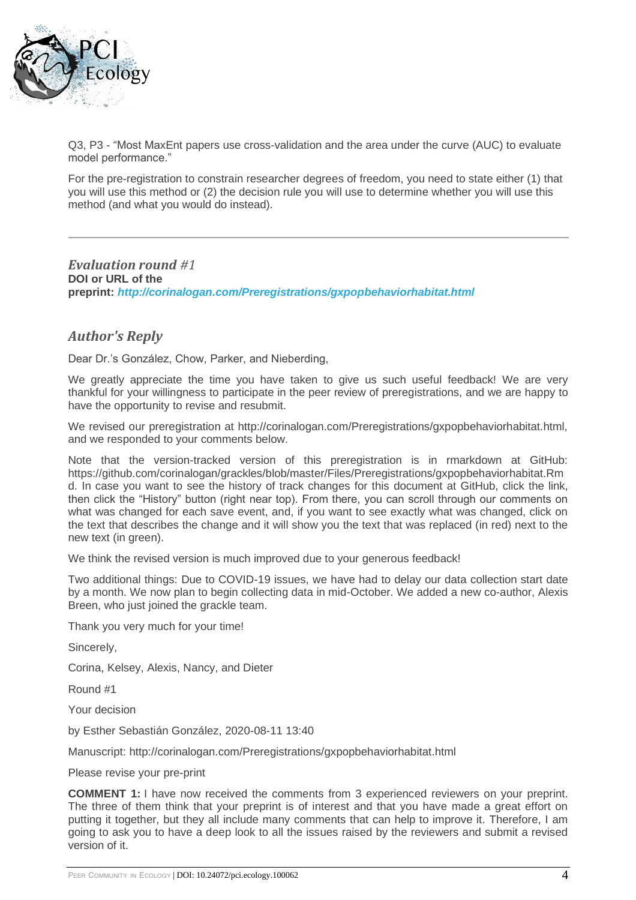

Q3, P3 - "Most MaxEnt papers use cross-validation and the area under the curve (AUC) to evaluate model performance."

For the pre-registration to constrain researcher degrees of freedom, you need to state either (1) that you will use this method or (2) the decision rule you will use to determine whether you will use this method (and what you would do instead).

*Evaluation round #1* **DOI or URL of the preprint:** *<http://corinalogan.com/Preregistrations/gxpopbehaviorhabitat.html>*

### *Author's Reply*

Dear Dr.'s González, Chow, Parker, and Nieberding,

We greatly appreciate the time you have taken to give us such useful feedback! We are very thankful for your willingness to participate in the peer review of preregistrations, and we are happy to have the opportunity to revise and resubmit.

We revised our preregistration at http://corinalogan.com/Preregistrations/gxpopbehaviorhabitat.html, and we responded to your comments below.

Note that the version-tracked version of this preregistration is in rmarkdown at GitHub: https://github.com/corinalogan/grackles/blob/master/Files/Preregistrations/gxpopbehaviorhabitat.Rm d. In case you want to see the history of track changes for this document at GitHub, click the link, then click the "History" button (right near top). From there, you can scroll through our comments on what was changed for each save event, and, if you want to see exactly what was changed, click on the text that describes the change and it will show you the text that was replaced (in red) next to the new text (in green).

We think the revised version is much improved due to your generous feedback!

Two additional things: Due to COVID-19 issues, we have had to delay our data collection start date by a month. We now plan to begin collecting data in mid-October. We added a new co-author, Alexis Breen, who just joined the grackle team.

Thank you very much for your time!

Sincerely,

Corina, Kelsey, Alexis, Nancy, and Dieter

Round #1

Your decision

by Esther Sebastián González, 2020-08-11 13:40

Manuscript: http://corinalogan.com/Preregistrations/gxpopbehaviorhabitat.html

Please revise your pre-print

**COMMENT 1:** I have now received the comments from 3 experienced reviewers on your preprint. The three of them think that your preprint is of interest and that you have made a great effort on putting it together, but they all include many comments that can help to improve it. Therefore, I am going to ask you to have a deep look to all the issues raised by the reviewers and submit a revised version of it.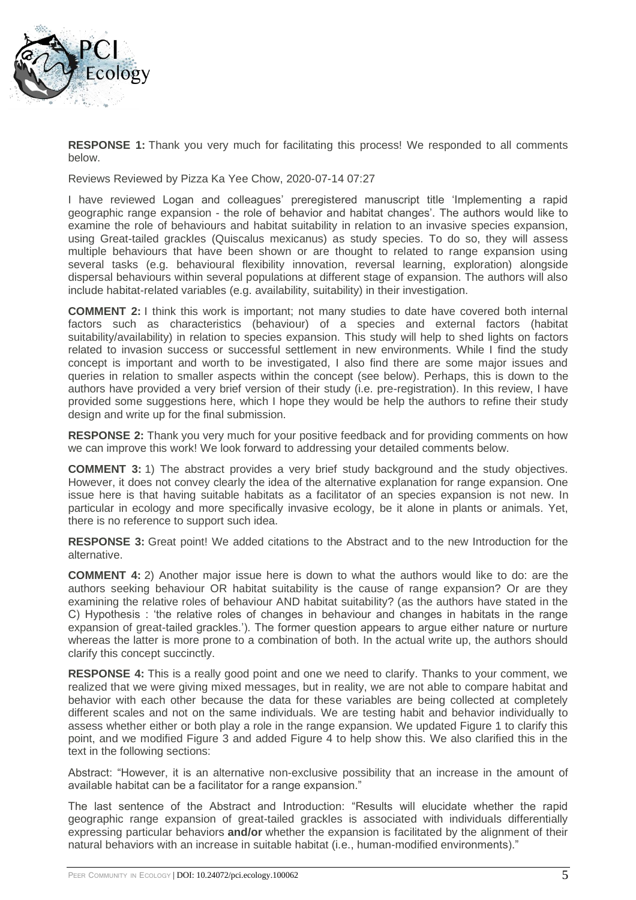

**RESPONSE 1:** Thank you very much for facilitating this process! We responded to all comments below.

Reviews Reviewed by Pizza Ka Yee Chow, 2020-07-14 07:27

I have reviewed Logan and colleagues' preregistered manuscript title 'Implementing a rapid geographic range expansion - the role of behavior and habitat changes'. The authors would like to examine the role of behaviours and habitat suitability in relation to an invasive species expansion, using Great-tailed grackles (Quiscalus mexicanus) as study species. To do so, they will assess multiple behaviours that have been shown or are thought to related to range expansion using several tasks (e.g. behavioural flexibility innovation, reversal learning, exploration) alongside dispersal behaviours within several populations at different stage of expansion. The authors will also include habitat-related variables (e.g. availability, suitability) in their investigation.

**COMMENT 2:** I think this work is important; not many studies to date have covered both internal factors such as characteristics (behaviour) of a species and external factors (habitat suitability/availability) in relation to species expansion. This study will help to shed lights on factors related to invasion success or successful settlement in new environments. While I find the study concept is important and worth to be investigated, I also find there are some major issues and queries in relation to smaller aspects within the concept (see below). Perhaps, this is down to the authors have provided a very brief version of their study (i.e. pre-registration). In this review, I have provided some suggestions here, which I hope they would be help the authors to refine their study design and write up for the final submission.

**RESPONSE 2:** Thank you very much for your positive feedback and for providing comments on how we can improve this work! We look forward to addressing your detailed comments below.

**COMMENT 3:** 1) The abstract provides a very brief study background and the study objectives. However, it does not convey clearly the idea of the alternative explanation for range expansion. One issue here is that having suitable habitats as a facilitator of an species expansion is not new. In particular in ecology and more specifically invasive ecology, be it alone in plants or animals. Yet, there is no reference to support such idea.

**RESPONSE 3:** Great point! We added citations to the Abstract and to the new Introduction for the alternative.

**COMMENT 4:** 2) Another major issue here is down to what the authors would like to do: are the authors seeking behaviour OR habitat suitability is the cause of range expansion? Or are they examining the relative roles of behaviour AND habitat suitability? (as the authors have stated in the C) Hypothesis : 'the relative roles of changes in behaviour and changes in habitats in the range expansion of great-tailed grackles.'). The former question appears to argue either nature or nurture whereas the latter is more prone to a combination of both. In the actual write up, the authors should clarify this concept succinctly.

**RESPONSE 4:** This is a really good point and one we need to clarify. Thanks to your comment, we realized that we were giving mixed messages, but in reality, we are not able to compare habitat and behavior with each other because the data for these variables are being collected at completely different scales and not on the same individuals. We are testing habit and behavior individually to assess whether either or both play a role in the range expansion. We updated Figure 1 to clarify this point, and we modified Figure 3 and added Figure 4 to help show this. We also clarified this in the text in the following sections:

Abstract: "However, it is an alternative non-exclusive possibility that an increase in the amount of available habitat can be a facilitator for a range expansion."

The last sentence of the Abstract and Introduction: "Results will elucidate whether the rapid geographic range expansion of great-tailed grackles is associated with individuals differentially expressing particular behaviors **and/or** whether the expansion is facilitated by the alignment of their natural behaviors with an increase in suitable habitat (i.e., human-modified environments)."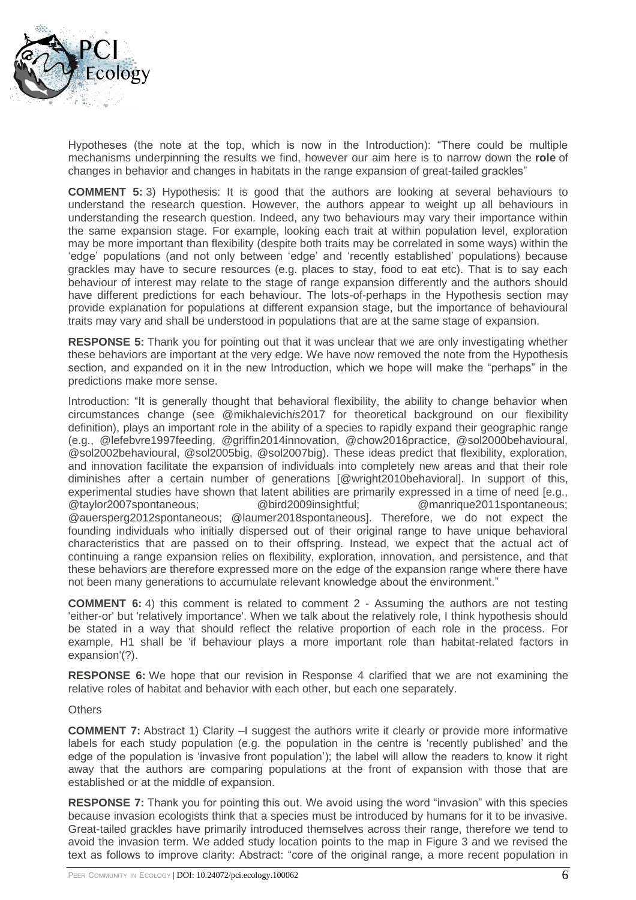

Hypotheses (the note at the top, which is now in the Introduction): "There could be multiple mechanisms underpinning the results we find, however our aim here is to narrow down the **role** of changes in behavior and changes in habitats in the range expansion of great-tailed grackles"

**COMMENT 5:** 3) Hypothesis: It is good that the authors are looking at several behaviours to understand the research question. However, the authors appear to weight up all behaviours in understanding the research question. Indeed, any two behaviours may vary their importance within the same expansion stage. For example, looking each trait at within population level, exploration may be more important than flexibility (despite both traits may be correlated in some ways) within the 'edge' populations (and not only between 'edge' and 'recently established' populations) because grackles may have to secure resources (e.g. places to stay, food to eat etc). That is to say each behaviour of interest may relate to the stage of range expansion differently and the authors should have different predictions for each behaviour. The lots-of-perhaps in the Hypothesis section may provide explanation for populations at different expansion stage, but the importance of behavioural traits may vary and shall be understood in populations that are at the same stage of expansion.

**RESPONSE 5:** Thank you for pointing out that it was unclear that we are only investigating whether these behaviors are important at the very edge. We have now removed the note from the Hypothesis section, and expanded on it in the new Introduction, which we hope will make the "perhaps" in the predictions make more sense.

Introduction: "It is generally thought that behavioral flexibility, the ability to change behavior when circumstances change (see @mikhalevich*is*2017 for theoretical background on our flexibility definition), plays an important role in the ability of a species to rapidly expand their geographic range (e.g., @lefebvre1997feeding, @griffin2014innovation, @chow2016practice, @sol2000behavioural, @sol2002behavioural, @sol2005big, @sol2007big). These ideas predict that flexibility, exploration, and innovation facilitate the expansion of individuals into completely new areas and that their role diminishes after a certain number of generations [@wright2010behavioral]. In support of this, experimental studies have shown that latent abilities are primarily expressed in a time of need [e.g., @taylor2007spontaneous; @bird2009insightful; @manrique2011spontaneous; @auersperg2012spontaneous; @laumer2018spontaneous]. Therefore, we do not expect the founding individuals who initially dispersed out of their original range to have unique behavioral characteristics that are passed on to their offspring. Instead, we expect that the actual act of continuing a range expansion relies on flexibility, exploration, innovation, and persistence, and that these behaviors are therefore expressed more on the edge of the expansion range where there have not been many generations to accumulate relevant knowledge about the environment."

**COMMENT 6:** 4) this comment is related to comment 2 - Assuming the authors are not testing 'either-or' but 'relatively importance'. When we talk about the relatively role, I think hypothesis should be stated in a way that should reflect the relative proportion of each role in the process. For example, H1 shall be 'if behaviour plays a more important role than habitat-related factors in expansion'(?).

**RESPONSE 6:** We hope that our revision in Response 4 clarified that we are not examining the relative roles of habitat and behavior with each other, but each one separately.

### **Others**

**COMMENT 7:** Abstract 1) Clarity –I suggest the authors write it clearly or provide more informative labels for each study population (e.g. the population in the centre is 'recently published' and the edge of the population is 'invasive front population'); the label will allow the readers to know it right away that the authors are comparing populations at the front of expansion with those that are established or at the middle of expansion.

**RESPONSE 7:** Thank you for pointing this out. We avoid using the word "invasion" with this species because invasion ecologists think that a species must be introduced by humans for it to be invasive. Great-tailed grackles have primarily introduced themselves across their range, therefore we tend to avoid the invasion term. We added study location points to the map in Figure 3 and we revised the text as follows to improve clarity: Abstract: "core of the original range, a more recent population in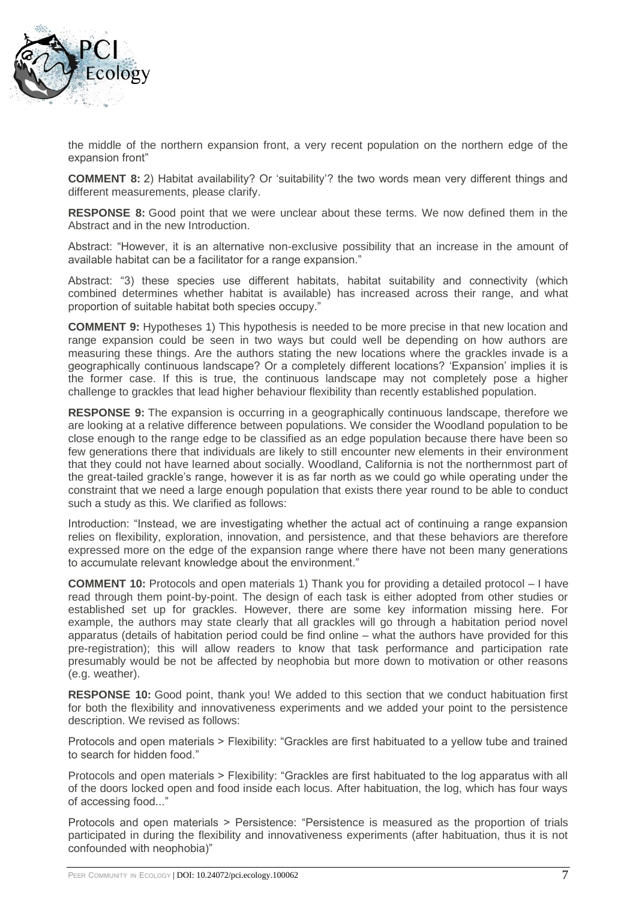

the middle of the northern expansion front, a very recent population on the northern edge of the expansion front"

**COMMENT 8:** 2) Habitat availability? Or 'suitability'? the two words mean very different things and different measurements, please clarify.

**RESPONSE 8:** Good point that we were unclear about these terms. We now defined them in the Abstract and in the new Introduction.

Abstract: "However, it is an alternative non-exclusive possibility that an increase in the amount of available habitat can be a facilitator for a range expansion."

Abstract: "3) these species use different habitats, habitat suitability and connectivity (which combined determines whether habitat is available) has increased across their range, and what proportion of suitable habitat both species occupy."

**COMMENT 9:** Hypotheses 1) This hypothesis is needed to be more precise in that new location and range expansion could be seen in two ways but could well be depending on how authors are measuring these things. Are the authors stating the new locations where the grackles invade is a geographically continuous landscape? Or a completely different locations? 'Expansion' implies it is the former case. If this is true, the continuous landscape may not completely pose a higher challenge to grackles that lead higher behaviour flexibility than recently established population.

**RESPONSE 9:** The expansion is occurring in a geographically continuous landscape, therefore we are looking at a relative difference between populations. We consider the Woodland population to be close enough to the range edge to be classified as an edge population because there have been so few generations there that individuals are likely to still encounter new elements in their environment that they could not have learned about socially. Woodland, California is not the northernmost part of the great-tailed grackle's range, however it is as far north as we could go while operating under the constraint that we need a large enough population that exists there year round to be able to conduct such a study as this. We clarified as follows:

Introduction: "Instead, we are investigating whether the actual act of continuing a range expansion relies on flexibility, exploration, innovation, and persistence, and that these behaviors are therefore expressed more on the edge of the expansion range where there have not been many generations to accumulate relevant knowledge about the environment."

**COMMENT 10:** Protocols and open materials 1) Thank you for providing a detailed protocol – I have read through them point-by-point. The design of each task is either adopted from other studies or established set up for grackles. However, there are some key information missing here. For example, the authors may state clearly that all grackles will go through a habitation period novel apparatus (details of habitation period could be find online – what the authors have provided for this pre-registration); this will allow readers to know that task performance and participation rate presumably would be not be affected by neophobia but more down to motivation or other reasons (e.g. weather).

**RESPONSE 10:** Good point, thank you! We added to this section that we conduct habituation first for both the flexibility and innovativeness experiments and we added your point to the persistence description. We revised as follows:

Protocols and open materials > Flexibility: "Grackles are first habituated to a yellow tube and trained to search for hidden food."

Protocols and open materials > Flexibility: "Grackles are first habituated to the log apparatus with all of the doors locked open and food inside each locus. After habituation, the log, which has four ways of accessing food..."

Protocols and open materials > Persistence: "Persistence is measured as the proportion of trials participated in during the flexibility and innovativeness experiments (after habituation, thus it is not confounded with neophobia)"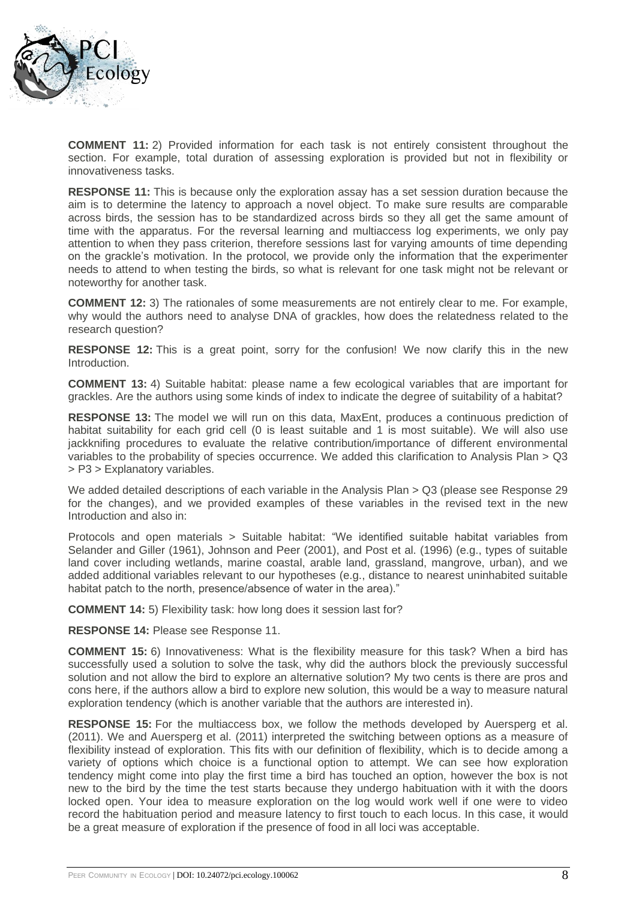

**COMMENT 11:** 2) Provided information for each task is not entirely consistent throughout the section. For example, total duration of assessing exploration is provided but not in flexibility or innovativeness tasks.

**RESPONSE 11:** This is because only the exploration assay has a set session duration because the aim is to determine the latency to approach a novel object. To make sure results are comparable across birds, the session has to be standardized across birds so they all get the same amount of time with the apparatus. For the reversal learning and multiaccess log experiments, we only pay attention to when they pass criterion, therefore sessions last for varying amounts of time depending on the grackle's motivation. In the protocol, we provide only the information that the experimenter needs to attend to when testing the birds, so what is relevant for one task might not be relevant or noteworthy for another task.

**COMMENT 12:** 3) The rationales of some measurements are not entirely clear to me. For example, why would the authors need to analyse DNA of grackles, how does the relatedness related to the research question?

**RESPONSE 12:** This is a great point, sorry for the confusion! We now clarify this in the new Introduction.

**COMMENT 13:** 4) Suitable habitat: please name a few ecological variables that are important for grackles. Are the authors using some kinds of index to indicate the degree of suitability of a habitat?

**RESPONSE 13:** The model we will run on this data, MaxEnt, produces a continuous prediction of habitat suitability for each grid cell (0 is least suitable and 1 is most suitable). We will also use jackknifing procedures to evaluate the relative contribution/importance of different environmental variables to the probability of species occurrence. We added this clarification to Analysis Plan > Q3 > P3 > Explanatory variables.

We added detailed descriptions of each variable in the Analysis Plan > Q3 (please see Response 29 for the changes), and we provided examples of these variables in the revised text in the new Introduction and also in:

Protocols and open materials > Suitable habitat: "We identified suitable habitat variables from Selander and Giller (1961), Johnson and Peer (2001), and Post et al. (1996) (e.g., types of suitable land cover including wetlands, marine coastal, arable land, grassland, mangrove, urban), and we added additional variables relevant to our hypotheses (e.g., distance to nearest uninhabited suitable habitat patch to the north, presence/absence of water in the area)."

**COMMENT 14:** 5) Flexibility task: how long does it session last for?

**RESPONSE 14:** Please see Response 11.

**COMMENT 15:** 6) Innovativeness: What is the flexibility measure for this task? When a bird has successfully used a solution to solve the task, why did the authors block the previously successful solution and not allow the bird to explore an alternative solution? My two cents is there are pros and cons here, if the authors allow a bird to explore new solution, this would be a way to measure natural exploration tendency (which is another variable that the authors are interested in).

**RESPONSE 15:** For the multiaccess box, we follow the methods developed by Auersperg et al. (2011). We and Auersperg et al. (2011) interpreted the switching between options as a measure of flexibility instead of exploration. This fits with our definition of flexibility, which is to decide among a variety of options which choice is a functional option to attempt. We can see how exploration tendency might come into play the first time a bird has touched an option, however the box is not new to the bird by the time the test starts because they undergo habituation with it with the doors locked open. Your idea to measure exploration on the log would work well if one were to video record the habituation period and measure latency to first touch to each locus. In this case, it would be a great measure of exploration if the presence of food in all loci was acceptable.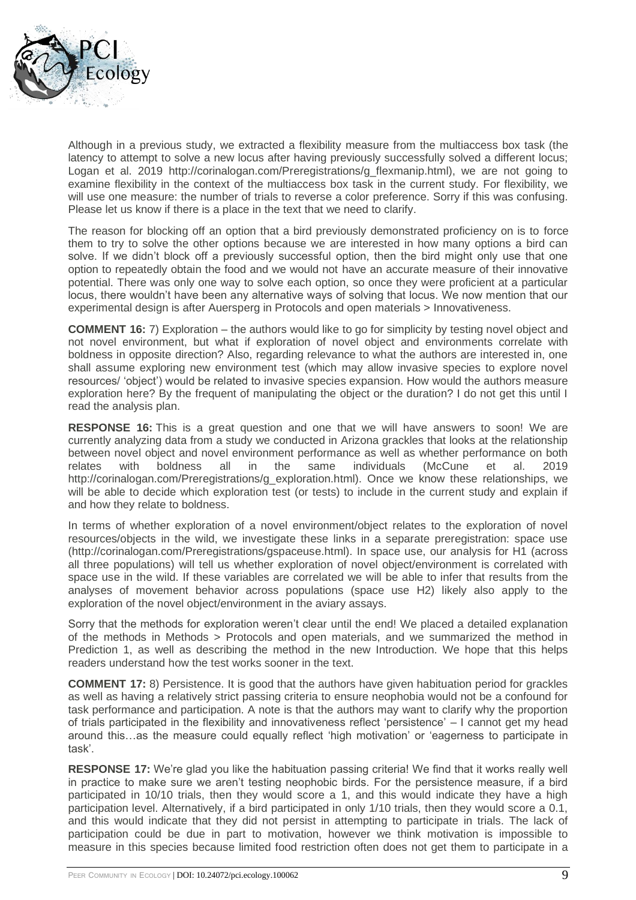

Although in a previous study, we extracted a flexibility measure from the multiaccess box task (the latency to attempt to solve a new locus after having previously successfully solved a different locus; Logan et al. 2019 http://corinalogan.com/Preregistrations/g\_flexmanip.html), we are not going to examine flexibility in the context of the multiaccess box task in the current study. For flexibility, we will use one measure: the number of trials to reverse a color preference. Sorry if this was confusing. Please let us know if there is a place in the text that we need to clarify.

The reason for blocking off an option that a bird previously demonstrated proficiency on is to force them to try to solve the other options because we are interested in how many options a bird can solve. If we didn't block off a previously successful option, then the bird might only use that one option to repeatedly obtain the food and we would not have an accurate measure of their innovative potential. There was only one way to solve each option, so once they were proficient at a particular locus, there wouldn't have been any alternative ways of solving that locus. We now mention that our experimental design is after Auersperg in Protocols and open materials > Innovativeness.

**COMMENT 16:** 7) Exploration – the authors would like to go for simplicity by testing novel object and not novel environment, but what if exploration of novel object and environments correlate with boldness in opposite direction? Also, regarding relevance to what the authors are interested in, one shall assume exploring new environment test (which may allow invasive species to explore novel resources/ 'object') would be related to invasive species expansion. How would the authors measure exploration here? By the frequent of manipulating the object or the duration? I do not get this until I read the analysis plan.

**RESPONSE 16:** This is a great question and one that we will have answers to soon! We are currently analyzing data from a study we conducted in Arizona grackles that looks at the relationship between novel object and novel environment performance as well as whether performance on both relates with boldness all in the same individuals (McCune et al. 2019 http://corinalogan.com/Preregistrations/g\_exploration.html). Once we know these relationships, we will be able to decide which exploration test (or tests) to include in the current study and explain if and how they relate to boldness.

In terms of whether exploration of a novel environment/object relates to the exploration of novel resources/objects in the wild, we investigate these links in a separate preregistration: space use (http://corinalogan.com/Preregistrations/gspaceuse.html). In space use, our analysis for H1 (across all three populations) will tell us whether exploration of novel object/environment is correlated with space use in the wild. If these variables are correlated we will be able to infer that results from the analyses of movement behavior across populations (space use H2) likely also apply to the exploration of the novel object/environment in the aviary assays.

Sorry that the methods for exploration weren't clear until the end! We placed a detailed explanation of the methods in Methods > Protocols and open materials, and we summarized the method in Prediction 1, as well as describing the method in the new Introduction. We hope that this helps readers understand how the test works sooner in the text.

**COMMENT 17:** 8) Persistence. It is good that the authors have given habituation period for grackles as well as having a relatively strict passing criteria to ensure neophobia would not be a confound for task performance and participation. A note is that the authors may want to clarify why the proportion of trials participated in the flexibility and innovativeness reflect 'persistence' – I cannot get my head around this…as the measure could equally reflect 'high motivation' or 'eagerness to participate in task'.

**RESPONSE 17:** We're glad you like the habituation passing criteria! We find that it works really well in practice to make sure we aren't testing neophobic birds. For the persistence measure, if a bird participated in 10/10 trials, then they would score a 1, and this would indicate they have a high participation level. Alternatively, if a bird participated in only 1/10 trials, then they would score a 0.1, and this would indicate that they did not persist in attempting to participate in trials. The lack of participation could be due in part to motivation, however we think motivation is impossible to measure in this species because limited food restriction often does not get them to participate in a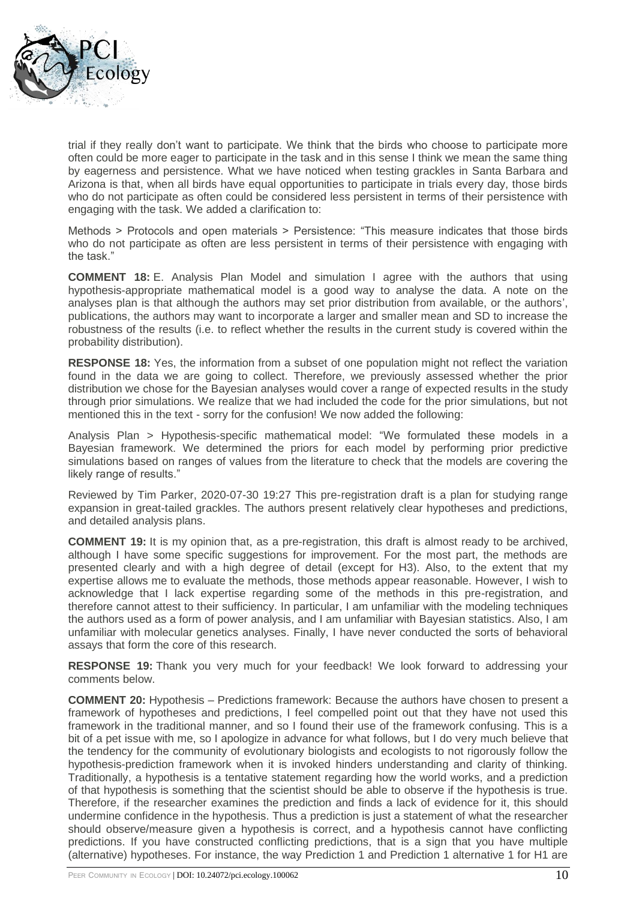

trial if they really don't want to participate. We think that the birds who choose to participate more often could be more eager to participate in the task and in this sense I think we mean the same thing by eagerness and persistence. What we have noticed when testing grackles in Santa Barbara and Arizona is that, when all birds have equal opportunities to participate in trials every day, those birds who do not participate as often could be considered less persistent in terms of their persistence with engaging with the task. We added a clarification to:

Methods > Protocols and open materials > Persistence: "This measure indicates that those birds who do not participate as often are less persistent in terms of their persistence with engaging with the task."

**COMMENT 18:** E. Analysis Plan Model and simulation I agree with the authors that using hypothesis-appropriate mathematical model is a good way to analyse the data. A note on the analyses plan is that although the authors may set prior distribution from available, or the authors', publications, the authors may want to incorporate a larger and smaller mean and SD to increase the robustness of the results (i.e. to reflect whether the results in the current study is covered within the probability distribution).

**RESPONSE 18:** Yes, the information from a subset of one population might not reflect the variation found in the data we are going to collect. Therefore, we previously assessed whether the prior distribution we chose for the Bayesian analyses would cover a range of expected results in the study through prior simulations. We realize that we had included the code for the prior simulations, but not mentioned this in the text - sorry for the confusion! We now added the following:

Analysis Plan > Hypothesis-specific mathematical model: "We formulated these models in a Bayesian framework. We determined the priors for each model by performing prior predictive simulations based on ranges of values from the literature to check that the models are covering the likely range of results."

Reviewed by Tim Parker, 2020-07-30 19:27 This pre-registration draft is a plan for studying range expansion in great-tailed grackles. The authors present relatively clear hypotheses and predictions, and detailed analysis plans.

**COMMENT 19:** It is my opinion that, as a pre-registration, this draft is almost ready to be archived, although I have some specific suggestions for improvement. For the most part, the methods are presented clearly and with a high degree of detail (except for H3). Also, to the extent that my expertise allows me to evaluate the methods, those methods appear reasonable. However, I wish to acknowledge that I lack expertise regarding some of the methods in this pre-registration, and therefore cannot attest to their sufficiency. In particular, I am unfamiliar with the modeling techniques the authors used as a form of power analysis, and I am unfamiliar with Bayesian statistics. Also, I am unfamiliar with molecular genetics analyses. Finally, I have never conducted the sorts of behavioral assays that form the core of this research.

**RESPONSE 19:** Thank you very much for your feedback! We look forward to addressing your comments below.

**COMMENT 20:** Hypothesis – Predictions framework: Because the authors have chosen to present a framework of hypotheses and predictions, I feel compelled point out that they have not used this framework in the traditional manner, and so I found their use of the framework confusing. This is a bit of a pet issue with me, so I apologize in advance for what follows, but I do very much believe that the tendency for the community of evolutionary biologists and ecologists to not rigorously follow the hypothesis-prediction framework when it is invoked hinders understanding and clarity of thinking. Traditionally, a hypothesis is a tentative statement regarding how the world works, and a prediction of that hypothesis is something that the scientist should be able to observe if the hypothesis is true. Therefore, if the researcher examines the prediction and finds a lack of evidence for it, this should undermine confidence in the hypothesis. Thus a prediction is just a statement of what the researcher should observe/measure given a hypothesis is correct, and a hypothesis cannot have conflicting predictions. If you have constructed conflicting predictions, that is a sign that you have multiple (alternative) hypotheses. For instance, the way Prediction 1 and Prediction 1 alternative 1 for H1 are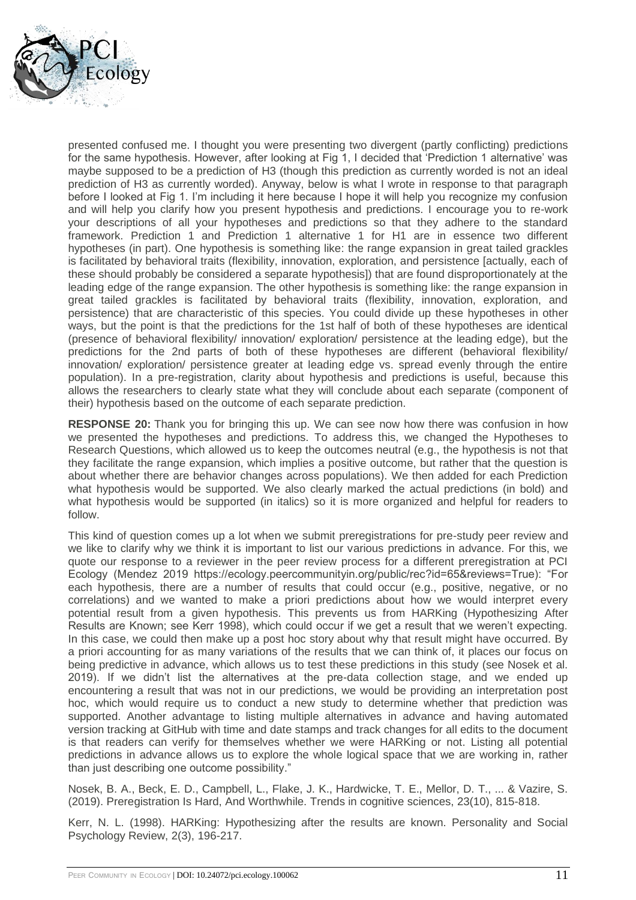

presented confused me. I thought you were presenting two divergent (partly conflicting) predictions for the same hypothesis. However, after looking at Fig 1, I decided that 'Prediction 1 alternative' was maybe supposed to be a prediction of H3 (though this prediction as currently worded is not an ideal prediction of H3 as currently worded). Anyway, below is what I wrote in response to that paragraph before I looked at Fig 1. I'm including it here because I hope it will help you recognize my confusion and will help you clarify how you present hypothesis and predictions. I encourage you to re-work your descriptions of all your hypotheses and predictions so that they adhere to the standard framework. Prediction 1 and Prediction 1 alternative 1 for H1 are in essence two different hypotheses (in part). One hypothesis is something like: the range expansion in great tailed grackles is facilitated by behavioral traits (flexibility, innovation, exploration, and persistence [actually, each of these should probably be considered a separate hypothesis]) that are found disproportionately at the leading edge of the range expansion. The other hypothesis is something like: the range expansion in great tailed grackles is facilitated by behavioral traits (flexibility, innovation, exploration, and persistence) that are characteristic of this species. You could divide up these hypotheses in other ways, but the point is that the predictions for the 1st half of both of these hypotheses are identical (presence of behavioral flexibility/ innovation/ exploration/ persistence at the leading edge), but the predictions for the 2nd parts of both of these hypotheses are different (behavioral flexibility/ innovation/ exploration/ persistence greater at leading edge vs. spread evenly through the entire population). In a pre-registration, clarity about hypothesis and predictions is useful, because this allows the researchers to clearly state what they will conclude about each separate (component of their) hypothesis based on the outcome of each separate prediction.

**RESPONSE 20:** Thank you for bringing this up. We can see now how there was confusion in how we presented the hypotheses and predictions. To address this, we changed the Hypotheses to Research Questions, which allowed us to keep the outcomes neutral (e.g., the hypothesis is not that they facilitate the range expansion, which implies a positive outcome, but rather that the question is about whether there are behavior changes across populations). We then added for each Prediction what hypothesis would be supported. We also clearly marked the actual predictions (in bold) and what hypothesis would be supported (in italics) so it is more organized and helpful for readers to follow.

This kind of question comes up a lot when we submit preregistrations for pre-study peer review and we like to clarify why we think it is important to list our various predictions in advance. For this, we quote our response to a reviewer in the peer review process for a different preregistration at PCI Ecology (Mendez 2019 https://ecology.peercommunityin.org/public/rec?id=65&reviews=True): "For each hypothesis, there are a number of results that could occur (e.g., positive, negative, or no correlations) and we wanted to make a priori predictions about how we would interpret every potential result from a given hypothesis. This prevents us from HARKing (Hypothesizing After Results are Known; see Kerr 1998), which could occur if we get a result that we weren't expecting. In this case, we could then make up a post hoc story about why that result might have occurred. By a priori accounting for as many variations of the results that we can think of, it places our focus on being predictive in advance, which allows us to test these predictions in this study (see Nosek et al. 2019). If we didn't list the alternatives at the pre-data collection stage, and we ended up encountering a result that was not in our predictions, we would be providing an interpretation post hoc, which would require us to conduct a new study to determine whether that prediction was supported. Another advantage to listing multiple alternatives in advance and having automated version tracking at GitHub with time and date stamps and track changes for all edits to the document is that readers can verify for themselves whether we were HARKing or not. Listing all potential predictions in advance allows us to explore the whole logical space that we are working in, rather than just describing one outcome possibility."

Nosek, B. A., Beck, E. D., Campbell, L., Flake, J. K., Hardwicke, T. E., Mellor, D. T., ... & Vazire, S. (2019). Preregistration Is Hard, And Worthwhile. Trends in cognitive sciences, 23(10), 815-818.

Kerr, N. L. (1998). HARKing: Hypothesizing after the results are known. Personality and Social Psychology Review, 2(3), 196-217.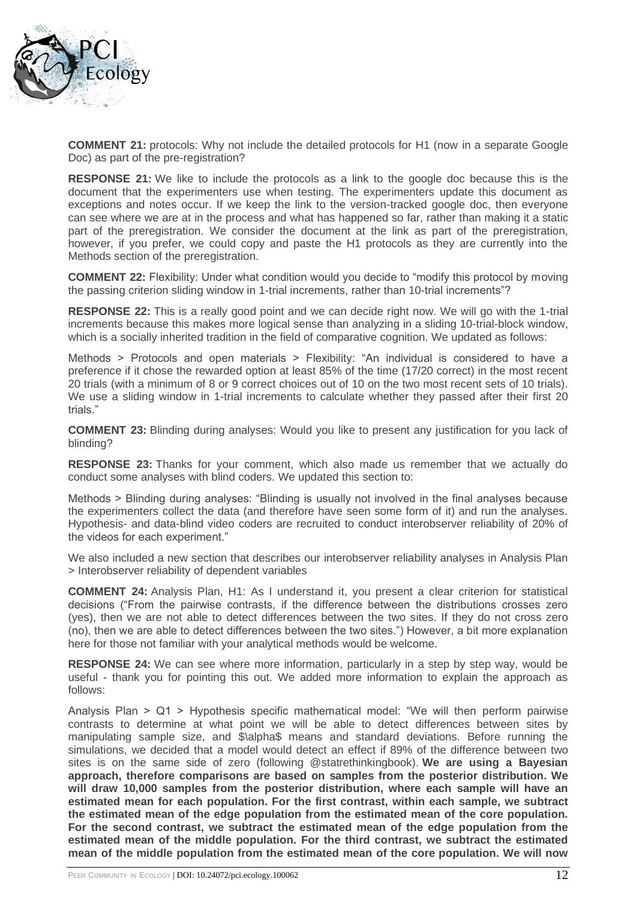

**COMMENT 21:** protocols: Why not include the detailed protocols for H1 (now in a separate Google Doc) as part of the pre-registration?

**RESPONSE 21:** We like to include the protocols as a link to the google doc because this is the document that the experimenters use when testing. The experimenters update this document as exceptions and notes occur. If we keep the link to the version-tracked google doc, then everyone can see where we are at in the process and what has happened so far, rather than making it a static part of the preregistration. We consider the document at the link as part of the preregistration, however, if you prefer, we could copy and paste the H1 protocols as they are currently into the Methods section of the preregistration.

**COMMENT 22:** Flexibility: Under what condition would you decide to "modify this protocol by moving the passing criterion sliding window in 1-trial increments, rather than 10-trial increments"?

**RESPONSE 22:** This is a really good point and we can decide right now. We will go with the 1-trial increments because this makes more logical sense than analyzing in a sliding 10-trial-block window, which is a socially inherited tradition in the field of comparative cognition. We updated as follows:

Methods > Protocols and open materials > Flexibility: "An individual is considered to have a preference if it chose the rewarded option at least 85% of the time (17/20 correct) in the most recent 20 trials (with a minimum of 8 or 9 correct choices out of 10 on the two most recent sets of 10 trials). We use a sliding window in 1-trial increments to calculate whether they passed after their first 20 trials."

**COMMENT 23:** Blinding during analyses: Would you like to present any justification for you lack of blinding?

**RESPONSE 23:** Thanks for your comment, which also made us remember that we actually do conduct some analyses with blind coders. We updated this section to:

Methods > Blinding during analyses: "Blinding is usually not involved in the final analyses because the experimenters collect the data (and therefore have seen some form of it) and run the analyses. Hypothesis- and data-blind video coders are recruited to conduct interobserver reliability of 20% of the videos for each experiment."

We also included a new section that describes our interobserver reliability analyses in Analysis Plan > Interobserver reliability of dependent variables

**COMMENT 24:** Analysis Plan, H1: As I understand it, you present a clear criterion for statistical decisions ("From the pairwise contrasts, if the difference between the distributions crosses zero (yes), then we are not able to detect differences between the two sites. If they do not cross zero (no), then we are able to detect differences between the two sites.") However, a bit more explanation here for those not familiar with your analytical methods would be welcome.

**RESPONSE 24:** We can see where more information, particularly in a step by step way, would be useful - thank you for pointing this out. We added more information to explain the approach as follows:

Analysis Plan > Q1 > Hypothesis specific mathematical model: "We will then perform pairwise contrasts to determine at what point we will be able to detect differences between sites by manipulating sample size, and \$\alpha\$ means and standard deviations. Before running the simulations, we decided that a model would detect an effect if 89% of the difference between two sites is on the same side of zero (following @statrethinkingbook). **We are using a Bayesian approach, therefore comparisons are based on samples from the posterior distribution. We will draw 10,000 samples from the posterior distribution, where each sample will have an estimated mean for each population. For the first contrast, within each sample, we subtract the estimated mean of the edge population from the estimated mean of the core population. For the second contrast, we subtract the estimated mean of the edge population from the estimated mean of the middle population. For the third contrast, we subtract the estimated mean of the middle population from the estimated mean of the core population. We will now**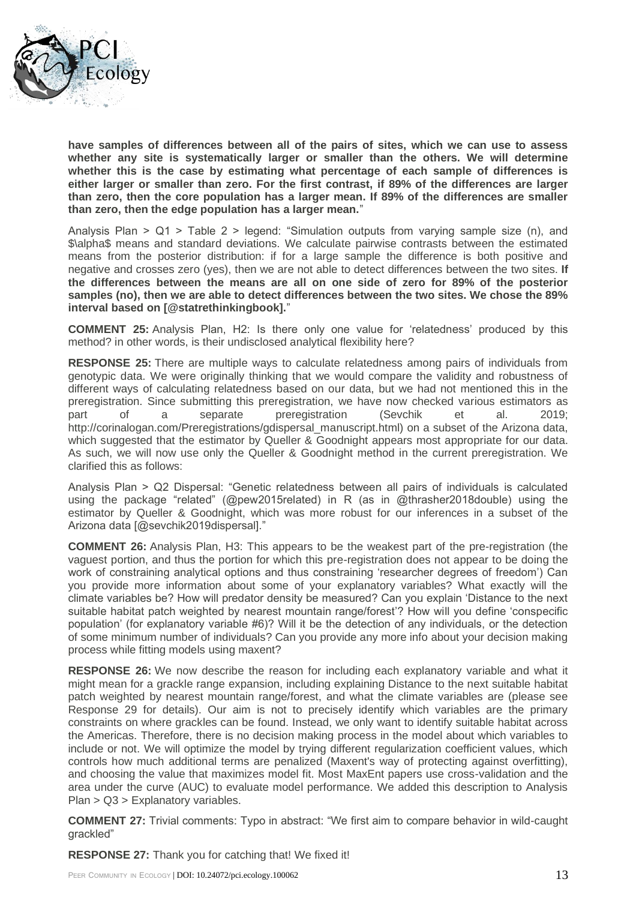

**have samples of differences between all of the pairs of sites, which we can use to assess whether any site is systematically larger or smaller than the others. We will determine whether this is the case by estimating what percentage of each sample of differences is either larger or smaller than zero. For the first contrast, if 89% of the differences are larger than zero, then the core population has a larger mean. If 89% of the differences are smaller than zero, then the edge population has a larger mean.**"

Analysis Plan  $>$  Q1  $>$  Table 2  $>$  legend: "Simulation outputs from varying sample size (n), and \$\alpha\$ means and standard deviations. We calculate pairwise contrasts between the estimated means from the posterior distribution: if for a large sample the difference is both positive and negative and crosses zero (yes), then we are not able to detect differences between the two sites. **If the differences between the means are all on one side of zero for 89% of the posterior samples (no), then we are able to detect differences between the two sites. We chose the 89% interval based on [@statrethinkingbook].**"

**COMMENT 25:** Analysis Plan, H2: Is there only one value for 'relatedness' produced by this method? in other words, is their undisclosed analytical flexibility here?

**RESPONSE 25:** There are multiple ways to calculate relatedness among pairs of individuals from genotypic data. We were originally thinking that we would compare the validity and robustness of different ways of calculating relatedness based on our data, but we had not mentioned this in the preregistration. Since submitting this preregistration, we have now checked various estimators as part of a separate preregistration (Sevchik et al. 2019; http://corinalogan.com/Preregistrations/gdispersal\_manuscript.html) on a subset of the Arizona data, which suggested that the estimator by Queller & Goodnight appears most appropriate for our data. As such, we will now use only the Queller & Goodnight method in the current preregistration. We clarified this as follows:

Analysis Plan > Q2 Dispersal: "Genetic relatedness between all pairs of individuals is calculated using the package "related" (@pew2015related) in R (as in @thrasher2018double) using the estimator by Queller & Goodnight, which was more robust for our inferences in a subset of the Arizona data [@sevchik2019dispersal]."

**COMMENT 26:** Analysis Plan, H3: This appears to be the weakest part of the pre-registration (the vaguest portion, and thus the portion for which this pre-registration does not appear to be doing the work of constraining analytical options and thus constraining 'researcher degrees of freedom') Can you provide more information about some of your explanatory variables? What exactly will the climate variables be? How will predator density be measured? Can you explain 'Distance to the next suitable habitat patch weighted by nearest mountain range/forest'? How will you define 'conspecific population' (for explanatory variable #6)? Will it be the detection of any individuals, or the detection of some minimum number of individuals? Can you provide any more info about your decision making process while fitting models using maxent?

**RESPONSE 26:** We now describe the reason for including each explanatory variable and what it might mean for a grackle range expansion, including explaining Distance to the next suitable habitat patch weighted by nearest mountain range/forest, and what the climate variables are (please see Response 29 for details). Our aim is not to precisely identify which variables are the primary constraints on where grackles can be found. Instead, we only want to identify suitable habitat across the Americas. Therefore, there is no decision making process in the model about which variables to include or not. We will optimize the model by trying different regularization coefficient values, which controls how much additional terms are penalized (Maxent's way of protecting against overfitting), and choosing the value that maximizes model fit. Most MaxEnt papers use cross-validation and the area under the curve (AUC) to evaluate model performance. We added this description to Analysis Plan > Q3 > Explanatory variables.

**COMMENT 27:** Trivial comments: Typo in abstract: "We first aim to compare behavior in wild-caught grackled"

**RESPONSE 27:** Thank you for catching that! We fixed it!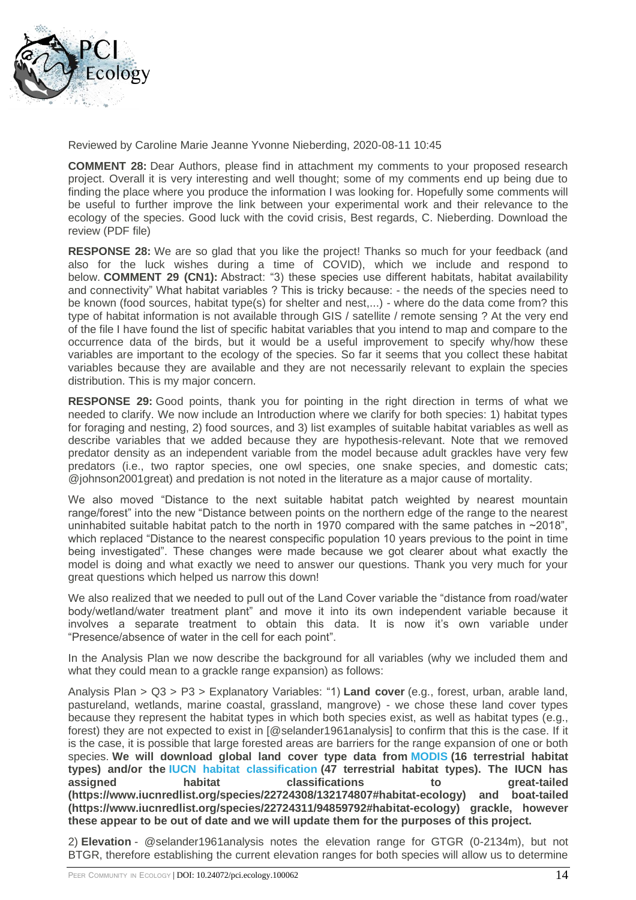

Reviewed by Caroline Marie Jeanne Yvonne Nieberding, 2020-08-11 10:45

**COMMENT 28:** Dear Authors, please find in attachment my comments to your proposed research project. Overall it is very interesting and well thought; some of my comments end up being due to finding the place where you produce the information I was looking for. Hopefully some comments will be useful to further improve the link between your experimental work and their relevance to the ecology of the species. Good luck with the covid crisis, Best regards, C. Nieberding. Download the review (PDF file)

**RESPONSE 28:** We are so glad that you like the project! Thanks so much for your feedback (and also for the luck wishes during a time of COVID), which we include and respond to below. **COMMENT 29 (CN1):** Abstract: "3) these species use different habitats, habitat availability and connectivity" What habitat variables ? This is tricky because: - the needs of the species need to be known (food sources, habitat type(s) for shelter and nest,...) - where do the data come from? this type of habitat information is not available through GIS / satellite / remote sensing ? At the very end of the file I have found the list of specific habitat variables that you intend to map and compare to the occurrence data of the birds, but it would be a useful improvement to specify why/how these variables are important to the ecology of the species. So far it seems that you collect these habitat variables because they are available and they are not necessarily relevant to explain the species distribution. This is my major concern.

**RESPONSE 29:** Good points, thank you for pointing in the right direction in terms of what we needed to clarify. We now include an Introduction where we clarify for both species: 1) habitat types for foraging and nesting, 2) food sources, and 3) list examples of suitable habitat variables as well as describe variables that we added because they are hypothesis-relevant. Note that we removed predator density as an independent variable from the model because adult grackles have very few predators (i.e., two raptor species, one owl species, one snake species, and domestic cats; @johnson2001great) and predation is not noted in the literature as a major cause of mortality.

We also moved "Distance to the next suitable habitat patch weighted by nearest mountain range/forest" into the new "Distance between points on the northern edge of the range to the nearest uninhabited suitable habitat patch to the north in 1970 compared with the same patches in  $\sim$ 2018", which replaced "Distance to the nearest conspecific population 10 years previous to the point in time being investigated". These changes were made because we got clearer about what exactly the model is doing and what exactly we need to answer our questions. Thank you very much for your great questions which helped us narrow this down!

We also realized that we needed to pull out of the Land Cover variable the "distance from road/water body/wetland/water treatment plant" and move it into its own independent variable because it involves a separate treatment to obtain this data. It is now it's own variable under "Presence/absence of water in the cell for each point".

In the Analysis Plan we now describe the background for all variables (why we included them and what they could mean to a grackle range expansion) as follows:

Analysis Plan > Q3 > P3 > Explanatory Variables: "1) **Land cover** (e.g., forest, urban, arable land, pastureland, wetlands, marine coastal, grassland, mangrove) - we chose these land cover types because they represent the habitat types in which both species exist, as well as habitat types (e.g., forest) they are not expected to exist in [@selander1961analysis] to confirm that this is the case. If it is the case, it is possible that large forested areas are barriers for the range expansion of one or both species. **We will download global land cover type data from [MODIS](https://modis.gsfc.nasa.gov/data/dataprod/mod12.php) (16 terrestrial habitat types) and/or the [IUCN habitat classification](https://www.iucnredlist.org/resources/habitat-classification-scheme) (47 terrestrial habitat types). The IUCN has assigned habitat classifications to great-tailed (https://www.iucnredlist.org/species/22724308/132174807#habitat-ecology) and boat-tailed (https://www.iucnredlist.org/species/22724311/94859792#habitat-ecology) grackle, however these appear to be out of date and we will update them for the purposes of this project.**

2) **Elevation** - @selander1961analysis notes the elevation range for GTGR (0-2134m), but not BTGR, therefore establishing the current elevation ranges for both species will allow us to determine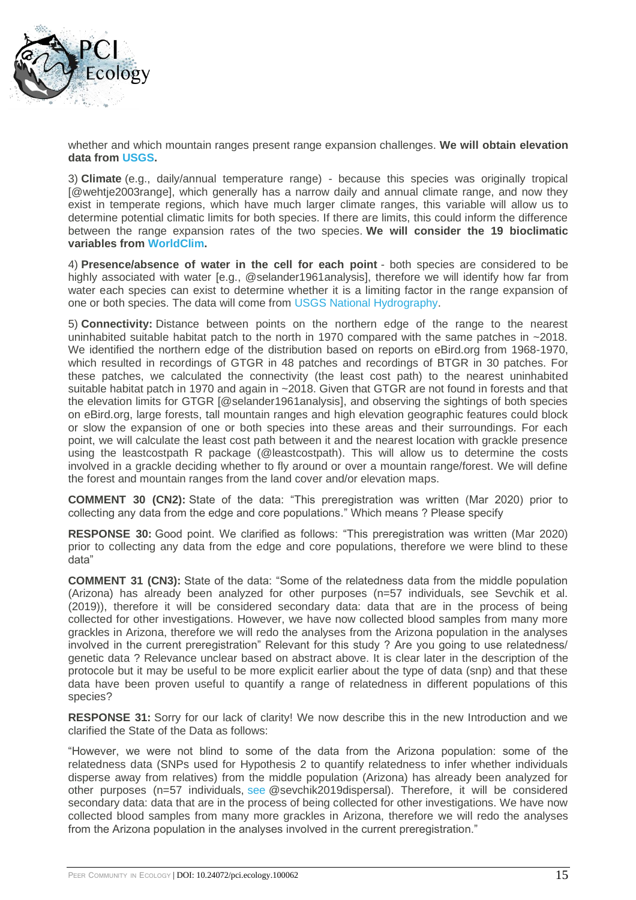

whether and which mountain ranges present range expansion challenges. **We will obtain elevation data from [USGS.](https://www.sciencebase.gov/catalog/item/4fb5495ee4b04cb937751d6d)**

3) **Climate** (e.g., daily/annual temperature range) - because this species was originally tropical [@wehtje2003range], which generally has a narrow daily and annual climate range, and now they exist in temperate regions, which have much larger climate ranges, this variable will allow us to determine potential climatic limits for both species. If there are limits, this could inform the difference between the range expansion rates of the two species. **We will consider the 19 bioclimatic variables from [WorldClim.](https://ecology.peercommunityin.org/articles/worldclim.org)**

4) **Presence/absence of water in the cell for each point** - both species are considered to be highly associated with water [e.g., @selander1961analysis], therefore we will identify how far from water each species can exist to determine whether it is a limiting factor in the range expansion of one or both species. The data will come from [USGS National Hydrography.](https://www.usgs.gov/core-science-systems/ngp/national-hydrography/access-national-hydrography-products)

5) **Connectivity:** Distance between points on the northern edge of the range to the nearest uninhabited suitable habitat patch to the north in 1970 compared with the same patches in ~2018. We identified the northern edge of the distribution based on reports on eBird.org from 1968-1970, which resulted in recordings of GTGR in 48 patches and recordings of BTGR in 30 patches. For these patches, we calculated the connectivity (the least cost path) to the nearest uninhabited suitable habitat patch in 1970 and again in ~2018. Given that GTGR are not found in forests and that the elevation limits for GTGR [@selander1961analysis], and observing the sightings of both species on eBird.org, large forests, tall mountain ranges and high elevation geographic features could block or slow the expansion of one or both species into these areas and their surroundings. For each point, we will calculate the least cost path between it and the nearest location with grackle presence using the leastcostpath R package (@leastcostpath). This will allow us to determine the costs involved in a grackle deciding whether to fly around or over a mountain range/forest. We will define the forest and mountain ranges from the land cover and/or elevation maps.

**COMMENT 30 (CN2):** State of the data: "This preregistration was written (Mar 2020) prior to collecting any data from the edge and core populations." Which means ? Please specify

**RESPONSE 30:** Good point. We clarified as follows: "This preregistration was written (Mar 2020) prior to collecting any data from the edge and core populations, therefore we were blind to these data"

**COMMENT 31 (CN3):** State of the data: "Some of the relatedness data from the middle population (Arizona) has already been analyzed for other purposes (n=57 individuals, see Sevchik et al. (2019)), therefore it will be considered secondary data: data that are in the process of being collected for other investigations. However, we have now collected blood samples from many more grackles in Arizona, therefore we will redo the analyses from the Arizona population in the analyses involved in the current preregistration" Relevant for this study ? Are you going to use relatedness/ genetic data ? Relevance unclear based on abstract above. It is clear later in the description of the protocole but it may be useful to be more explicit earlier about the type of data (snp) and that these data have been proven useful to quantify a range of relatedness in different populations of this species?

RESPONSE 31: Sorry for our lack of clarity! We now describe this in the new Introduction and we clarified the State of the Data as follows:

"However, we were not blind to some of the data from the Arizona population: some of the relatedness data (SNPs used for Hypothesis 2 to quantify relatedness to infer whether individuals disperse away from relatives) from the middle population (Arizona) has already been analyzed for other purposes (n=57 individuals, [see](http://corinalogan.com/Preregistrations/gdispersal_manuscript.html) @sevchik2019dispersal). Therefore, it will be considered secondary data: data that are in the process of being collected for other investigations. We have now collected blood samples from many more grackles in Arizona, therefore we will redo the analyses from the Arizona population in the analyses involved in the current preregistration."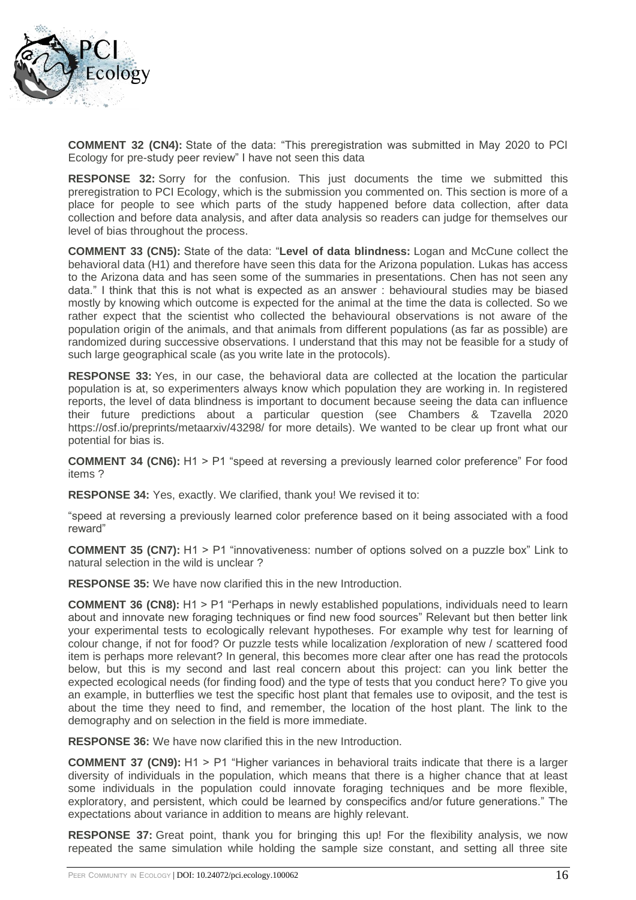

**COMMENT 32 (CN4):** State of the data: "This preregistration was submitted in May 2020 to PCI Ecology for pre-study peer review" I have not seen this data

**RESPONSE 32:** Sorry for the confusion. This just documents the time we submitted this preregistration to PCI Ecology, which is the submission you commented on. This section is more of a place for people to see which parts of the study happened before data collection, after data collection and before data analysis, and after data analysis so readers can judge for themselves our level of bias throughout the process.

**COMMENT 33 (CN5):** State of the data: "**Level of data blindness:** Logan and McCune collect the behavioral data (H1) and therefore have seen this data for the Arizona population. Lukas has access to the Arizona data and has seen some of the summaries in presentations. Chen has not seen any data." I think that this is not what is expected as an answer : behavioural studies may be biased mostly by knowing which outcome is expected for the animal at the time the data is collected. So we rather expect that the scientist who collected the behavioural observations is not aware of the population origin of the animals, and that animals from different populations (as far as possible) are randomized during successive observations. I understand that this may not be feasible for a study of such large geographical scale (as you write late in the protocols).

**RESPONSE 33:** Yes, in our case, the behavioral data are collected at the location the particular population is at, so experimenters always know which population they are working in. In registered reports, the level of data blindness is important to document because seeing the data can influence their future predictions about a particular question (see Chambers & Tzavella 2020 https://osf.io/preprints/metaarxiv/43298/ for more details). We wanted to be clear up front what our potential for bias is.

**COMMENT 34 (CN6):** H1 > P1 "speed at reversing a previously learned color preference" For food items ?

**RESPONSE 34:** Yes, exactly. We clarified, thank you! We revised it to:

"speed at reversing a previously learned color preference based on it being associated with a food reward"

**COMMENT 35 (CN7):** H1 > P1 "innovativeness: number of options solved on a puzzle box" Link to natural selection in the wild is unclear ?

**RESPONSE 35:** We have now clarified this in the new Introduction.

**COMMENT 36 (CN8):** H1 > P1 "Perhaps in newly established populations, individuals need to learn about and innovate new foraging techniques or find new food sources" Relevant but then better link your experimental tests to ecologically relevant hypotheses. For example why test for learning of colour change, if not for food? Or puzzle tests while localization /exploration of new / scattered food item is perhaps more relevant? In general, this becomes more clear after one has read the protocols below, but this is my second and last real concern about this project: can you link better the expected ecological needs (for finding food) and the type of tests that you conduct here? To give you an example, in butterflies we test the specific host plant that females use to oviposit, and the test is about the time they need to find, and remember, the location of the host plant. The link to the demography and on selection in the field is more immediate.

**RESPONSE 36:** We have now clarified this in the new Introduction.

**COMMENT 37 (CN9):** H1 > P1 "Higher variances in behavioral traits indicate that there is a larger diversity of individuals in the population, which means that there is a higher chance that at least some individuals in the population could innovate foraging techniques and be more flexible, exploratory, and persistent, which could be learned by conspecifics and/or future generations." The expectations about variance in addition to means are highly relevant.

**RESPONSE 37:** Great point, thank you for bringing this up! For the flexibility analysis, we now repeated the same simulation while holding the sample size constant, and setting all three site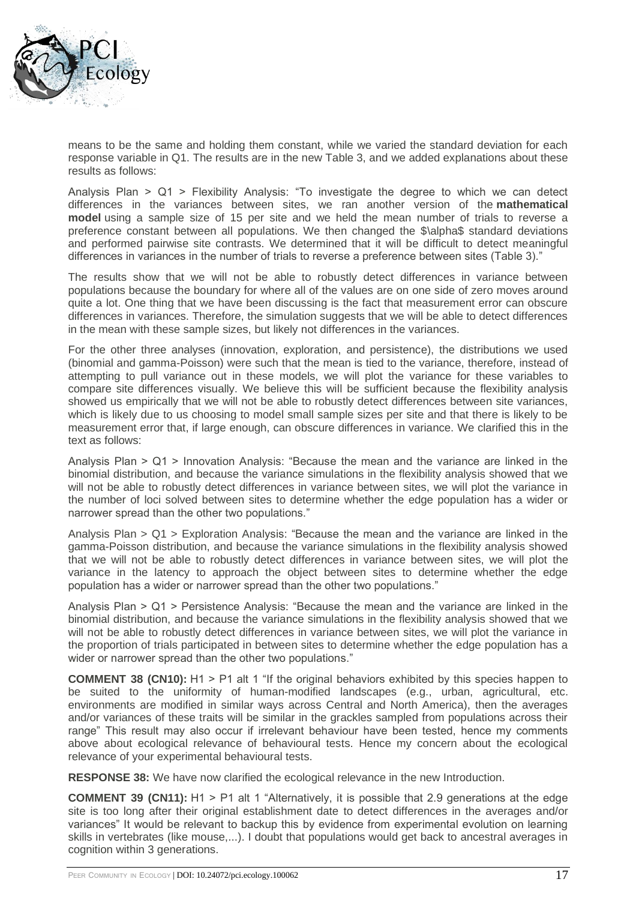

means to be the same and holding them constant, while we varied the standard deviation for each response variable in Q1. The results are in the new Table 3, and we added explanations about these results as follows:

Analysis Plan > Q1 > Flexibility Analysis: "To investigate the degree to which we can detect differences in the variances between sites, we ran another version of the **mathematical model** using a sample size of 15 per site and we held the mean number of trials to reverse a preference constant between all populations. We then changed the \$\alpha\$ standard deviations and performed pairwise site contrasts. We determined that it will be difficult to detect meaningful differences in variances in the number of trials to reverse a preference between sites (Table 3)."

The results show that we will not be able to robustly detect differences in variance between populations because the boundary for where all of the values are on one side of zero moves around quite a lot. One thing that we have been discussing is the fact that measurement error can obscure differences in variances. Therefore, the simulation suggests that we will be able to detect differences in the mean with these sample sizes, but likely not differences in the variances.

For the other three analyses (innovation, exploration, and persistence), the distributions we used (binomial and gamma-Poisson) were such that the mean is tied to the variance, therefore, instead of attempting to pull variance out in these models, we will plot the variance for these variables to compare site differences visually. We believe this will be sufficient because the flexibility analysis showed us empirically that we will not be able to robustly detect differences between site variances, which is likely due to us choosing to model small sample sizes per site and that there is likely to be measurement error that, if large enough, can obscure differences in variance. We clarified this in the text as follows:

Analysis Plan > Q1 > Innovation Analysis: "Because the mean and the variance are linked in the binomial distribution, and because the variance simulations in the flexibility analysis showed that we will not be able to robustly detect differences in variance between sites, we will plot the variance in the number of loci solved between sites to determine whether the edge population has a wider or narrower spread than the other two populations."

Analysis Plan > Q1 > Exploration Analysis: "Because the mean and the variance are linked in the gamma-Poisson distribution, and because the variance simulations in the flexibility analysis showed that we will not be able to robustly detect differences in variance between sites, we will plot the variance in the latency to approach the object between sites to determine whether the edge population has a wider or narrower spread than the other two populations."

Analysis Plan > Q1 > Persistence Analysis: "Because the mean and the variance are linked in the binomial distribution, and because the variance simulations in the flexibility analysis showed that we will not be able to robustly detect differences in variance between sites, we will plot the variance in the proportion of trials participated in between sites to determine whether the edge population has a wider or narrower spread than the other two populations."

**COMMENT 38 (CN10):** H1 > P1 alt 1 "If the original behaviors exhibited by this species happen to be suited to the uniformity of human-modified landscapes (e.g., urban, agricultural, etc. environments are modified in similar ways across Central and North America), then the averages and/or variances of these traits will be similar in the grackles sampled from populations across their range" This result may also occur if irrelevant behaviour have been tested, hence my comments above about ecological relevance of behavioural tests. Hence my concern about the ecological relevance of your experimental behavioural tests.

**RESPONSE 38:** We have now clarified the ecological relevance in the new Introduction.

**COMMENT 39 (CN11):** H1 > P1 alt 1 "Alternatively, it is possible that 2.9 generations at the edge site is too long after their original establishment date to detect differences in the averages and/or variances" It would be relevant to backup this by evidence from experimental evolution on learning skills in vertebrates (like mouse,...). I doubt that populations would get back to ancestral averages in cognition within 3 generations.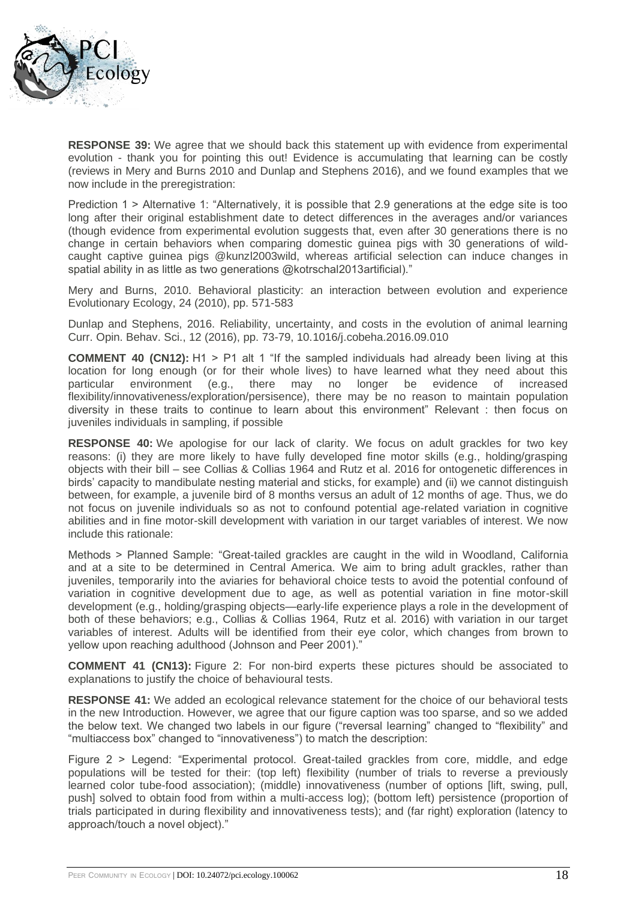

**RESPONSE 39:** We agree that we should back this statement up with evidence from experimental evolution - thank you for pointing this out! Evidence is accumulating that learning can be costly (reviews in Mery and Burns 2010 and Dunlap and Stephens 2016), and we found examples that we now include in the preregistration:

Prediction 1 > Alternative 1: "Alternatively, it is possible that 2.9 generations at the edge site is too long after their original establishment date to detect differences in the averages and/or variances (though evidence from experimental evolution suggests that, even after 30 generations there is no change in certain behaviors when comparing domestic guinea pigs with 30 generations of wildcaught captive guinea pigs @kunzl2003wild, whereas artificial selection can induce changes in spatial ability in as little as two generations @kotrschal2013artificial)."

Mery and Burns, 2010. Behavioral plasticity: an interaction between evolution and experience Evolutionary Ecology, 24 (2010), pp. 571-583

Dunlap and Stephens, 2016. Reliability, uncertainty, and costs in the evolution of animal learning Curr. Opin. Behav. Sci., 12 (2016), pp. 73-79, 10.1016/j.cobeha.2016.09.010

**COMMENT 40 (CN12):** H1 > P1 alt 1 "If the sampled individuals had already been living at this location for long enough (or for their whole lives) to have learned what they need about this particular environment (e.g., there may no longer be evidence of increased flexibility/innovativeness/exploration/persisence), there may be no reason to maintain population diversity in these traits to continue to learn about this environment" Relevant : then focus on juveniles individuals in sampling, if possible

**RESPONSE 40:** We apologise for our lack of clarity. We focus on adult grackles for two key reasons: (i) they are more likely to have fully developed fine motor skills (e.g., holding/grasping objects with their bill – see Collias & Collias 1964 and Rutz et al. 2016 for ontogenetic differences in birds' capacity to mandibulate nesting material and sticks, for example) and (ii) we cannot distinguish between, for example, a juvenile bird of 8 months versus an adult of 12 months of age. Thus, we do not focus on juvenile individuals so as not to confound potential age-related variation in cognitive abilities and in fine motor-skill development with variation in our target variables of interest. We now include this rationale:

Methods > Planned Sample: "Great-tailed grackles are caught in the wild in Woodland, California and at a site to be determined in Central America. We aim to bring adult grackles, rather than juveniles, temporarily into the aviaries for behavioral choice tests to avoid the potential confound of variation in cognitive development due to age, as well as potential variation in fine motor-skill development (e.g., holding/grasping objects—early-life experience plays a role in the development of both of these behaviors; e.g., Collias & Collias 1964, Rutz et al. 2016) with variation in our target variables of interest. Adults will be identified from their eye color, which changes from brown to yellow upon reaching adulthood (Johnson and Peer 2001)."

**COMMENT 41 (CN13):** Figure 2: For non-bird experts these pictures should be associated to explanations to justify the choice of behavioural tests.

**RESPONSE 41:** We added an ecological relevance statement for the choice of our behavioral tests in the new Introduction. However, we agree that our figure caption was too sparse, and so we added the below text. We changed two labels in our figure ("reversal learning" changed to "flexibility" and "multiaccess box" changed to "innovativeness") to match the description:

Figure 2 > Legend: "Experimental protocol. Great-tailed grackles from core, middle, and edge populations will be tested for their: (top left) flexibility (number of trials to reverse a previously learned color tube-food association); (middle) innovativeness (number of options [lift, swing, pull, push] solved to obtain food from within a multi-access log); (bottom left) persistence (proportion of trials participated in during flexibility and innovativeness tests); and (far right) exploration (latency to approach/touch a novel object)."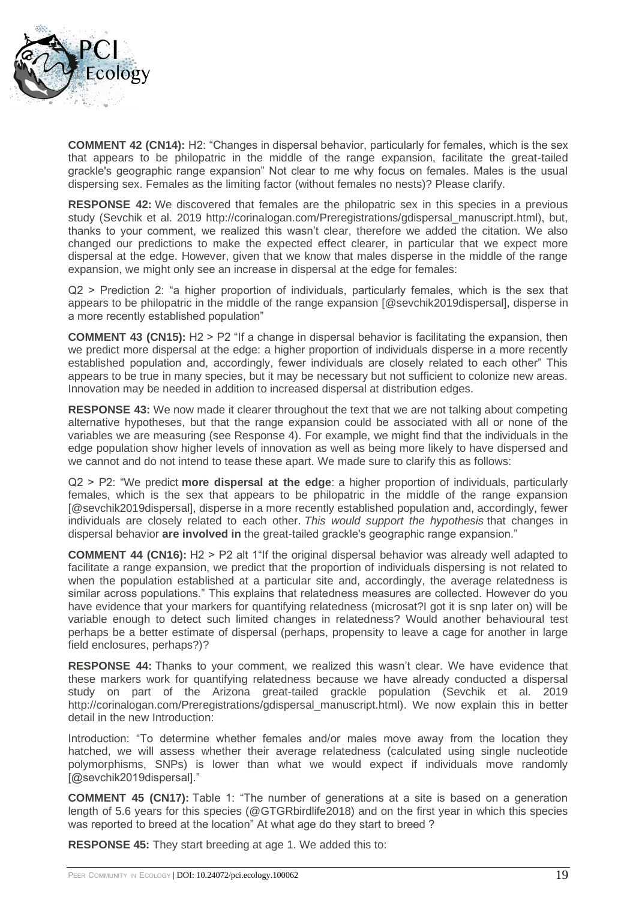

**COMMENT 42 (CN14):** H2: "Changes in dispersal behavior, particularly for females, which is the sex that appears to be philopatric in the middle of the range expansion, facilitate the great-tailed grackle's geographic range expansion" Not clear to me why focus on females. Males is the usual dispersing sex. Females as the limiting factor (without females no nests)? Please clarify.

**RESPONSE 42:** We discovered that females are the philopatric sex in this species in a previous study (Sevchik et al. 2019 http://corinalogan.com/Preregistrations/gdispersal\_manuscript.html), but, thanks to your comment, we realized this wasn't clear, therefore we added the citation. We also changed our predictions to make the expected effect clearer, in particular that we expect more dispersal at the edge. However, given that we know that males disperse in the middle of the range expansion, we might only see an increase in dispersal at the edge for females:

Q2 > Prediction 2: "a higher proportion of individuals, particularly females, which is the sex that appears to be philopatric in the middle of the range expansion [@sevchik2019dispersal], disperse in a more recently established population"

**COMMENT 43 (CN15):** H2 > P2 "If a change in dispersal behavior is facilitating the expansion, then we predict more dispersal at the edge: a higher proportion of individuals disperse in a more recently established population and, accordingly, fewer individuals are closely related to each other" This appears to be true in many species, but it may be necessary but not sufficient to colonize new areas. Innovation may be needed in addition to increased dispersal at distribution edges.

**RESPONSE 43:** We now made it clearer throughout the text that we are not talking about competing alternative hypotheses, but that the range expansion could be associated with all or none of the variables we are measuring (see Response 4). For example, we might find that the individuals in the edge population show higher levels of innovation as well as being more likely to have dispersed and we cannot and do not intend to tease these apart. We made sure to clarify this as follows:

Q2 > P2: "We predict **more dispersal at the edge**: a higher proportion of individuals, particularly females, which is the sex that appears to be philopatric in the middle of the range expansion [@sevchik2019dispersal], disperse in a more recently established population and, accordingly, fewer individuals are closely related to each other. *This would support the hypothesis* that changes in dispersal behavior **are involved in** the great-tailed grackle's geographic range expansion."

**COMMENT 44 (CN16):** H2 > P2 alt 1"If the original dispersal behavior was already well adapted to facilitate a range expansion, we predict that the proportion of individuals dispersing is not related to when the population established at a particular site and, accordingly, the average relatedness is similar across populations." This explains that relatedness measures are collected. However do you have evidence that your markers for quantifying relatedness (microsat?) got it is snp later on) will be variable enough to detect such limited changes in relatedness? Would another behavioural test perhaps be a better estimate of dispersal (perhaps, propensity to leave a cage for another in large field enclosures, perhaps?)?

**RESPONSE 44:** Thanks to your comment, we realized this wasn't clear. We have evidence that these markers work for quantifying relatedness because we have already conducted a dispersal study on part of the Arizona great-tailed grackle population (Sevchik et al. 2019 http://corinalogan.com/Preregistrations/gdispersal\_manuscript.html). We now explain this in better detail in the new Introduction:

Introduction: "To determine whether females and/or males move away from the location they hatched, we will assess whether their average relatedness (calculated using single nucleotide polymorphisms, SNPs) is lower than what we would expect if individuals move randomly [@sevchik2019dispersal]."

**COMMENT 45 (CN17):** Table 1: "The number of generations at a site is based on a generation length of 5.6 years for this species (@GTGRbirdlife2018) and on the first year in which this species was reported to breed at the location" At what age do they start to breed ?

**RESPONSE 45:** They start breeding at age 1. We added this to: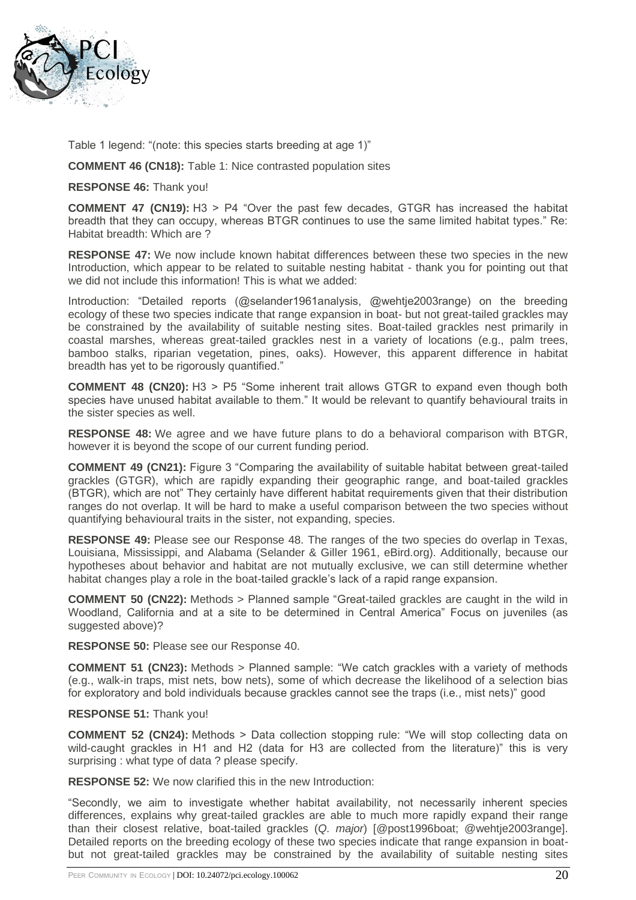

Table 1 legend: "(note: this species starts breeding at age 1)"

**COMMENT 46 (CN18):** Table 1: Nice contrasted population sites

**RESPONSE 46:** Thank you!

**COMMENT 47 (CN19):** H3 > P4 "Over the past few decades, GTGR has increased the habitat breadth that they can occupy, whereas BTGR continues to use the same limited habitat types." Re: Habitat breadth: Which are ?

**RESPONSE 47:** We now include known habitat differences between these two species in the new Introduction, which appear to be related to suitable nesting habitat - thank you for pointing out that we did not include this information! This is what we added:

Introduction: "Detailed reports (@selander1961analysis, @wehtje2003range) on the breeding ecology of these two species indicate that range expansion in boat- but not great-tailed grackles may be constrained by the availability of suitable nesting sites. Boat-tailed grackles nest primarily in coastal marshes, whereas great-tailed grackles nest in a variety of locations (e.g., palm trees, bamboo stalks, riparian vegetation, pines, oaks). However, this apparent difference in habitat breadth has yet to be rigorously quantified."

**COMMENT 48 (CN20):** H3 > P5 "Some inherent trait allows GTGR to expand even though both species have unused habitat available to them." It would be relevant to quantify behavioural traits in the sister species as well.

**RESPONSE 48:** We agree and we have future plans to do a behavioral comparison with BTGR, however it is beyond the scope of our current funding period.

**COMMENT 49 (CN21):** Figure 3 "Comparing the availability of suitable habitat between great-tailed grackles (GTGR), which are rapidly expanding their geographic range, and boat-tailed grackles (BTGR), which are not" They certainly have different habitat requirements given that their distribution ranges do not overlap. It will be hard to make a useful comparison between the two species without quantifying behavioural traits in the sister, not expanding, species.

**RESPONSE 49:** Please see our Response 48. The ranges of the two species do overlap in Texas, Louisiana, Mississippi, and Alabama (Selander & Giller 1961, eBird.org). Additionally, because our hypotheses about behavior and habitat are not mutually exclusive, we can still determine whether habitat changes play a role in the boat-tailed grackle's lack of a rapid range expansion.

**COMMENT 50 (CN22):** Methods > Planned sample "Great-tailed grackles are caught in the wild in Woodland, California and at a site to be determined in Central America" Focus on juveniles (as suggested above)?

**RESPONSE 50:** Please see our Response 40.

**COMMENT 51 (CN23):** Methods > Planned sample: "We catch grackles with a variety of methods (e.g., walk-in traps, mist nets, bow nets), some of which decrease the likelihood of a selection bias for exploratory and bold individuals because grackles cannot see the traps (i.e., mist nets)" good

### **RESPONSE 51:** Thank you!

**COMMENT 52 (CN24):** Methods > Data collection stopping rule: "We will stop collecting data on wild-caught grackles in H1 and H2 (data for H3 are collected from the literature)" this is very surprising : what type of data ? please specify.

**RESPONSE 52:** We now clarified this in the new Introduction:

"Secondly, we aim to investigate whether habitat availability, not necessarily inherent species differences, explains why great-tailed grackles are able to much more rapidly expand their range than their closest relative, boat-tailed grackles (*Q. major*) [@post1996boat; @wehtje2003range]. Detailed reports on the breeding ecology of these two species indicate that range expansion in boatbut not great-tailed grackles may be constrained by the availability of suitable nesting sites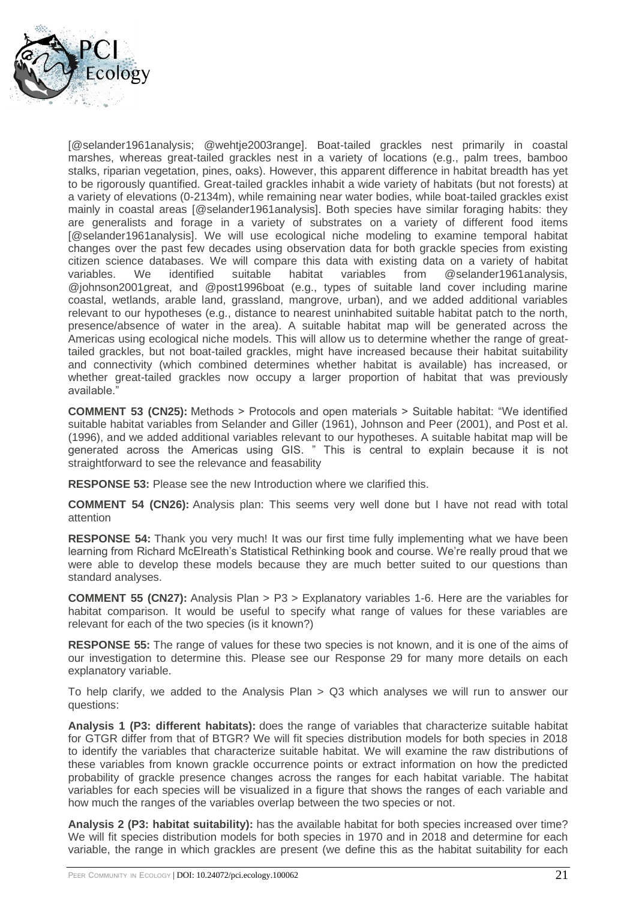

[@selander1961analysis; @wehtje2003range]. Boat-tailed grackles nest primarily in coastal marshes, whereas great-tailed grackles nest in a variety of locations (e.g., palm trees, bamboo stalks, riparian vegetation, pines, oaks). However, this apparent difference in habitat breadth has yet to be rigorously quantified. Great-tailed grackles inhabit a wide variety of habitats (but not forests) at a variety of elevations (0-2134m), while remaining near water bodies, while boat-tailed grackles exist mainly in coastal areas [@selander1961analysis]. Both species have similar foraging habits: they are generalists and forage in a variety of substrates on a variety of different food items [@selander1961analysis]. We will use ecological niche modeling to examine temporal habitat changes over the past few decades using observation data for both grackle species from existing citizen science databases. We will compare this data with existing data on a variety of habitat variables. We identified suitable habitat variables from @selander1961analysis, @johnson2001great, and @post1996boat (e.g., types of suitable land cover including marine coastal, wetlands, arable land, grassland, mangrove, urban), and we added additional variables relevant to our hypotheses (e.g., distance to nearest uninhabited suitable habitat patch to the north, presence/absence of water in the area). A suitable habitat map will be generated across the Americas using ecological niche models. This will allow us to determine whether the range of greattailed grackles, but not boat-tailed grackles, might have increased because their habitat suitability and connectivity (which combined determines whether habitat is available) has increased, or whether great-tailed grackles now occupy a larger proportion of habitat that was previously available."

**COMMENT 53 (CN25):** Methods > Protocols and open materials > Suitable habitat: "We identified suitable habitat variables from Selander and Giller (1961), Johnson and Peer (2001), and Post et al. (1996), and we added additional variables relevant to our hypotheses. A suitable habitat map will be generated across the Americas using GIS. " This is central to explain because it is not straightforward to see the relevance and feasability

**RESPONSE 53:** Please see the new Introduction where we clarified this.

**COMMENT 54 (CN26):** Analysis plan: This seems very well done but I have not read with total attention

**RESPONSE 54:** Thank you very much! It was our first time fully implementing what we have been learning from Richard McElreath's Statistical Rethinking book and course. We're really proud that we were able to develop these models because they are much better suited to our questions than standard analyses.

**COMMENT 55 (CN27):** Analysis Plan > P3 > Explanatory variables 1-6. Here are the variables for habitat comparison. It would be useful to specify what range of values for these variables are relevant for each of the two species (is it known?)

**RESPONSE 55:** The range of values for these two species is not known, and it is one of the aims of our investigation to determine this. Please see our Response 29 for many more details on each explanatory variable.

To help clarify, we added to the Analysis Plan > Q3 which analyses we will run to answer our questions:

**Analysis 1 (P3: different habitats):** does the range of variables that characterize suitable habitat for GTGR differ from that of BTGR? We will fit species distribution models for both species in 2018 to identify the variables that characterize suitable habitat. We will examine the raw distributions of these variables from known grackle occurrence points or extract information on how the predicted probability of grackle presence changes across the ranges for each habitat variable. The habitat variables for each species will be visualized in a figure that shows the ranges of each variable and how much the ranges of the variables overlap between the two species or not.

**Analysis 2 (P3: habitat suitability):** has the available habitat for both species increased over time? We will fit species distribution models for both species in 1970 and in 2018 and determine for each variable, the range in which grackles are present (we define this as the habitat suitability for each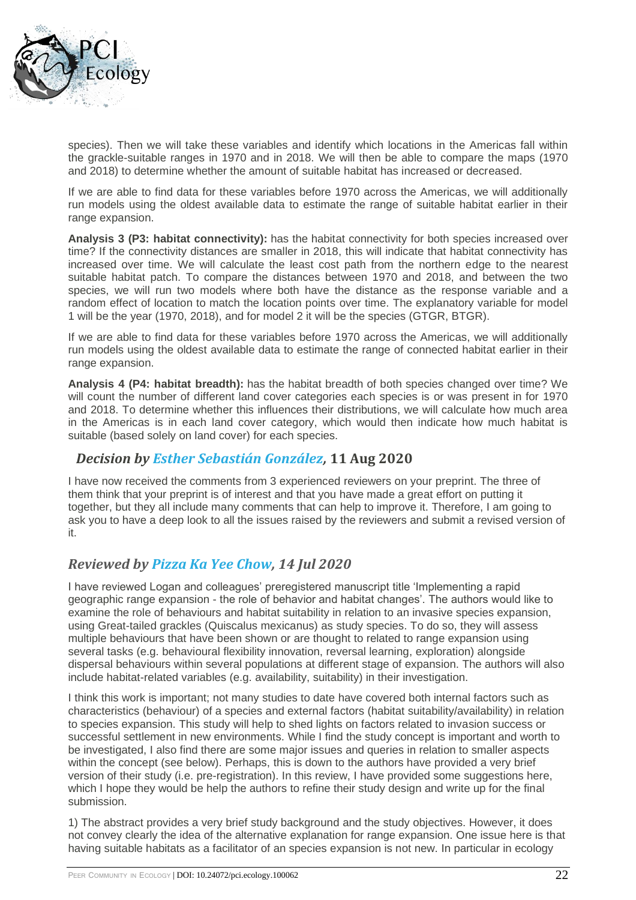

species). Then we will take these variables and identify which locations in the Americas fall within the grackle-suitable ranges in 1970 and in 2018. We will then be able to compare the maps (1970 and 2018) to determine whether the amount of suitable habitat has increased or decreased.

If we are able to find data for these variables before 1970 across the Americas, we will additionally run models using the oldest available data to estimate the range of suitable habitat earlier in their range expansion.

**Analysis 3 (P3: habitat connectivity):** has the habitat connectivity for both species increased over time? If the connectivity distances are smaller in 2018, this will indicate that habitat connectivity has increased over time. We will calculate the least cost path from the northern edge to the nearest suitable habitat patch. To compare the distances between 1970 and 2018, and between the two species, we will run two models where both have the distance as the response variable and a random effect of location to match the location points over time. The explanatory variable for model 1 will be the year (1970, 2018), and for model 2 it will be the species (GTGR, BTGR).

If we are able to find data for these variables before 1970 across the Americas, we will additionally run models using the oldest available data to estimate the range of connected habitat earlier in their range expansion.

**Analysis 4 (P4: habitat breadth):** has the habitat breadth of both species changed over time? We will count the number of different land cover categories each species is or was present in for 1970 and 2018. To determine whether this influences their distributions, we will calculate how much area in the Americas is in each land cover category, which would then indicate how much habitat is suitable (based solely on land cover) for each species.

### *Decision by [Esther Sebastián González,](https://ecology.peercommunityin.org/public/user_public_page?userId=713)* **11 Aug 2020**

I have now received the comments from 3 experienced reviewers on your preprint. The three of them think that your preprint is of interest and that you have made a great effort on putting it together, but they all include many comments that can help to improve it. Therefore, I am going to ask you to have a deep look to all the issues raised by the reviewers and submit a revised version of it.

# *Reviewed by [Pizza Ka Yee Chow,](https://ecology.peercommunityin.org/public/user_public_page?userId=617) 14 Jul 2020*

I have reviewed Logan and colleagues' preregistered manuscript title 'Implementing a rapid geographic range expansion - the role of behavior and habitat changes'. The authors would like to examine the role of behaviours and habitat suitability in relation to an invasive species expansion, using Great-tailed grackles (Quiscalus mexicanus) as study species. To do so, they will assess multiple behaviours that have been shown or are thought to related to range expansion using several tasks (e.g. behavioural flexibility innovation, reversal learning, exploration) alongside dispersal behaviours within several populations at different stage of expansion. The authors will also include habitat-related variables (e.g. availability, suitability) in their investigation.

I think this work is important; not many studies to date have covered both internal factors such as characteristics (behaviour) of a species and external factors (habitat suitability/availability) in relation to species expansion. This study will help to shed lights on factors related to invasion success or successful settlement in new environments. While I find the study concept is important and worth to be investigated, I also find there are some major issues and queries in relation to smaller aspects within the concept (see below). Perhaps, this is down to the authors have provided a very brief version of their study (i.e. pre-registration). In this review, I have provided some suggestions here, which I hope they would be help the authors to refine their study design and write up for the final submission.

1) The abstract provides a very brief study background and the study objectives. However, it does not convey clearly the idea of the alternative explanation for range expansion. One issue here is that having suitable habitats as a facilitator of an species expansion is not new. In particular in ecology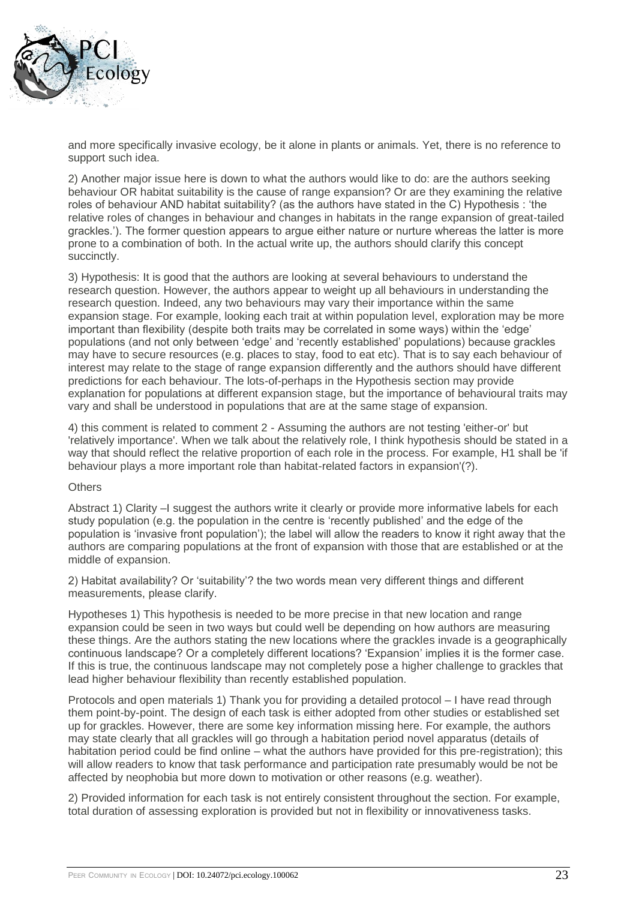

and more specifically invasive ecology, be it alone in plants or animals. Yet, there is no reference to support such idea.

2) Another major issue here is down to what the authors would like to do: are the authors seeking behaviour OR habitat suitability is the cause of range expansion? Or are they examining the relative roles of behaviour AND habitat suitability? (as the authors have stated in the C) Hypothesis : 'the relative roles of changes in behaviour and changes in habitats in the range expansion of great-tailed grackles.'). The former question appears to argue either nature or nurture whereas the latter is more prone to a combination of both. In the actual write up, the authors should clarify this concept succinctly.

3) Hypothesis: It is good that the authors are looking at several behaviours to understand the research question. However, the authors appear to weight up all behaviours in understanding the research question. Indeed, any two behaviours may vary their importance within the same expansion stage. For example, looking each trait at within population level, exploration may be more important than flexibility (despite both traits may be correlated in some ways) within the 'edge' populations (and not only between 'edge' and 'recently established' populations) because grackles may have to secure resources (e.g. places to stay, food to eat etc). That is to say each behaviour of interest may relate to the stage of range expansion differently and the authors should have different predictions for each behaviour. The lots-of-perhaps in the Hypothesis section may provide explanation for populations at different expansion stage, but the importance of behavioural traits may vary and shall be understood in populations that are at the same stage of expansion.

4) this comment is related to comment 2 - Assuming the authors are not testing 'either-or' but 'relatively importance'. When we talk about the relatively role, I think hypothesis should be stated in a way that should reflect the relative proportion of each role in the process. For example, H1 shall be 'if behaviour plays a more important role than habitat-related factors in expansion'(?).

### **Others**

Abstract 1) Clarity –I suggest the authors write it clearly or provide more informative labels for each study population (e.g. the population in the centre is 'recently published' and the edge of the population is 'invasive front population'); the label will allow the readers to know it right away that the authors are comparing populations at the front of expansion with those that are established or at the middle of expansion.

2) Habitat availability? Or 'suitability'? the two words mean very different things and different measurements, please clarify.

Hypotheses 1) This hypothesis is needed to be more precise in that new location and range expansion could be seen in two ways but could well be depending on how authors are measuring these things. Are the authors stating the new locations where the grackles invade is a geographically continuous landscape? Or a completely different locations? 'Expansion' implies it is the former case. If this is true, the continuous landscape may not completely pose a higher challenge to grackles that lead higher behaviour flexibility than recently established population.

Protocols and open materials 1) Thank you for providing a detailed protocol – I have read through them point-by-point. The design of each task is either adopted from other studies or established set up for grackles. However, there are some key information missing here. For example, the authors may state clearly that all grackles will go through a habitation period novel apparatus (details of habitation period could be find online – what the authors have provided for this pre-registration); this will allow readers to know that task performance and participation rate presumably would be not be affected by neophobia but more down to motivation or other reasons (e.g. weather).

2) Provided information for each task is not entirely consistent throughout the section. For example, total duration of assessing exploration is provided but not in flexibility or innovativeness tasks.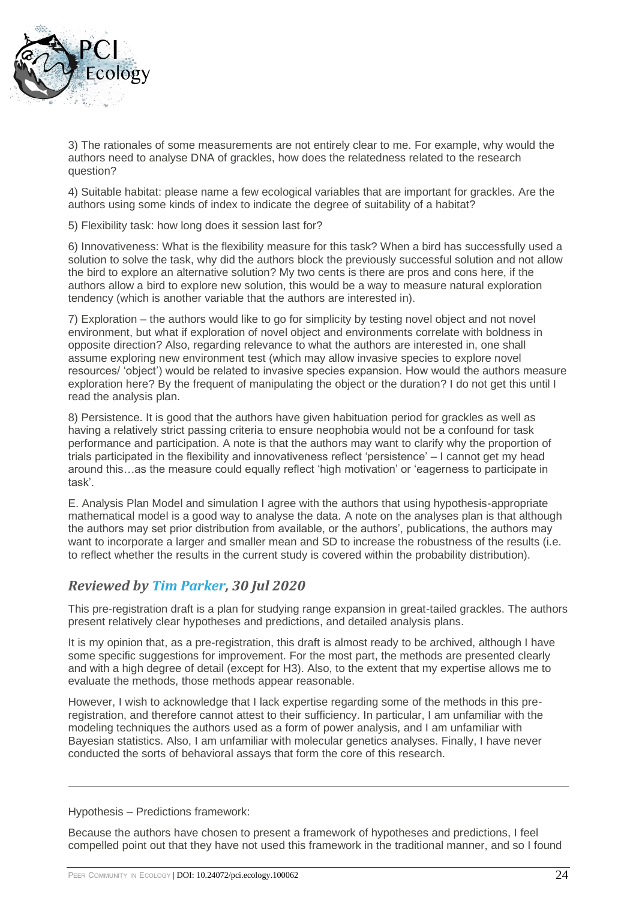

3) The rationales of some measurements are not entirely clear to me. For example, why would the authors need to analyse DNA of grackles, how does the relatedness related to the research question?

4) Suitable habitat: please name a few ecological variables that are important for grackles. Are the authors using some kinds of index to indicate the degree of suitability of a habitat?

5) Flexibility task: how long does it session last for?

6) Innovativeness: What is the flexibility measure for this task? When a bird has successfully used a solution to solve the task, why did the authors block the previously successful solution and not allow the bird to explore an alternative solution? My two cents is there are pros and cons here, if the authors allow a bird to explore new solution, this would be a way to measure natural exploration tendency (which is another variable that the authors are interested in).

7) Exploration – the authors would like to go for simplicity by testing novel object and not novel environment, but what if exploration of novel object and environments correlate with boldness in opposite direction? Also, regarding relevance to what the authors are interested in, one shall assume exploring new environment test (which may allow invasive species to explore novel resources/ 'object') would be related to invasive species expansion. How would the authors measure exploration here? By the frequent of manipulating the object or the duration? I do not get this until I read the analysis plan.

8) Persistence. It is good that the authors have given habituation period for grackles as well as having a relatively strict passing criteria to ensure neophobia would not be a confound for task performance and participation. A note is that the authors may want to clarify why the proportion of trials participated in the flexibility and innovativeness reflect 'persistence' – I cannot get my head around this…as the measure could equally reflect 'high motivation' or 'eagerness to participate in task'.

E. Analysis Plan Model and simulation I agree with the authors that using hypothesis-appropriate mathematical model is a good way to analyse the data. A note on the analyses plan is that although the authors may set prior distribution from available, or the authors', publications, the authors may want to incorporate a larger and smaller mean and SD to increase the robustness of the results (i.e. to reflect whether the results in the current study is covered within the probability distribution).

# *Reviewed by [Tim Parker,](https://ecology.peercommunityin.org/public/user_public_page?userId=1110) 30 Jul 2020*

This pre-registration draft is a plan for studying range expansion in great-tailed grackles. The authors present relatively clear hypotheses and predictions, and detailed analysis plans.

It is my opinion that, as a pre-registration, this draft is almost ready to be archived, although I have some specific suggestions for improvement. For the most part, the methods are presented clearly and with a high degree of detail (except for H3). Also, to the extent that my expertise allows me to evaluate the methods, those methods appear reasonable.

However, I wish to acknowledge that I lack expertise regarding some of the methods in this preregistration, and therefore cannot attest to their sufficiency. In particular, I am unfamiliar with the modeling techniques the authors used as a form of power analysis, and I am unfamiliar with Bayesian statistics. Also, I am unfamiliar with molecular genetics analyses. Finally, I have never conducted the sorts of behavioral assays that form the core of this research.

Hypothesis – Predictions framework:

Because the authors have chosen to present a framework of hypotheses and predictions, I feel compelled point out that they have not used this framework in the traditional manner, and so I found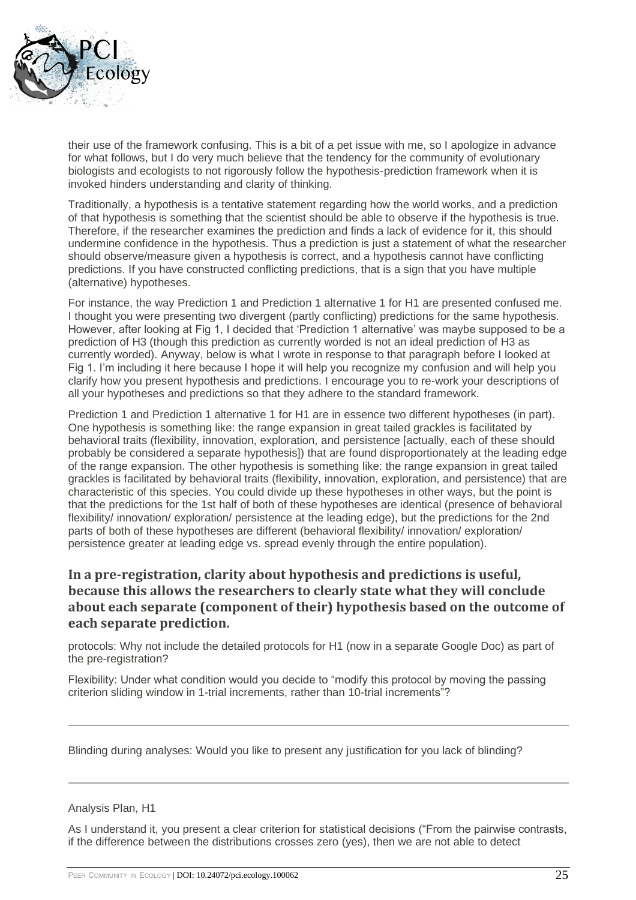

their use of the framework confusing. This is a bit of a pet issue with me, so I apologize in advance for what follows, but I do very much believe that the tendency for the community of evolutionary biologists and ecologists to not rigorously follow the hypothesis-prediction framework when it is invoked hinders understanding and clarity of thinking.

Traditionally, a hypothesis is a tentative statement regarding how the world works, and a prediction of that hypothesis is something that the scientist should be able to observe if the hypothesis is true. Therefore, if the researcher examines the prediction and finds a lack of evidence for it, this should undermine confidence in the hypothesis. Thus a prediction is just a statement of what the researcher should observe/measure given a hypothesis is correct, and a hypothesis cannot have conflicting predictions. If you have constructed conflicting predictions, that is a sign that you have multiple (alternative) hypotheses.

For instance, the way Prediction 1 and Prediction 1 alternative 1 for H1 are presented confused me. I thought you were presenting two divergent (partly conflicting) predictions for the same hypothesis. However, after looking at Fig 1, I decided that 'Prediction 1 alternative' was maybe supposed to be a prediction of H3 (though this prediction as currently worded is not an ideal prediction of H3 as currently worded). Anyway, below is what I wrote in response to that paragraph before I looked at Fig 1. I'm including it here because I hope it will help you recognize my confusion and will help you clarify how you present hypothesis and predictions. I encourage you to re-work your descriptions of all your hypotheses and predictions so that they adhere to the standard framework.

Prediction 1 and Prediction 1 alternative 1 for H1 are in essence two different hypotheses (in part). One hypothesis is something like: the range expansion in great tailed grackles is facilitated by behavioral traits (flexibility, innovation, exploration, and persistence [actually, each of these should probably be considered a separate hypothesis]) that are found disproportionately at the leading edge of the range expansion. The other hypothesis is something like: the range expansion in great tailed grackles is facilitated by behavioral traits (flexibility, innovation, exploration, and persistence) that are characteristic of this species. You could divide up these hypotheses in other ways, but the point is that the predictions for the 1st half of both of these hypotheses are identical (presence of behavioral flexibility/ innovation/ exploration/ persistence at the leading edge), but the predictions for the 2nd parts of both of these hypotheses are different (behavioral flexibility/ innovation/ exploration/ persistence greater at leading edge vs. spread evenly through the entire population).

### **In a pre-registration, clarity about hypothesis and predictions is useful, because this allows the researchers to clearly state what they will conclude about each separate (component of their) hypothesis based on the outcome of each separate prediction.**

protocols: Why not include the detailed protocols for H1 (now in a separate Google Doc) as part of the pre-registration?

Flexibility: Under what condition would you decide to "modify this protocol by moving the passing criterion sliding window in 1-trial increments, rather than 10-trial increments"?

Blinding during analyses: Would you like to present any justification for you lack of blinding?

### Analysis Plan, H1

As I understand it, you present a clear criterion for statistical decisions ("From the pairwise contrasts, if the difference between the distributions crosses zero (yes), then we are not able to detect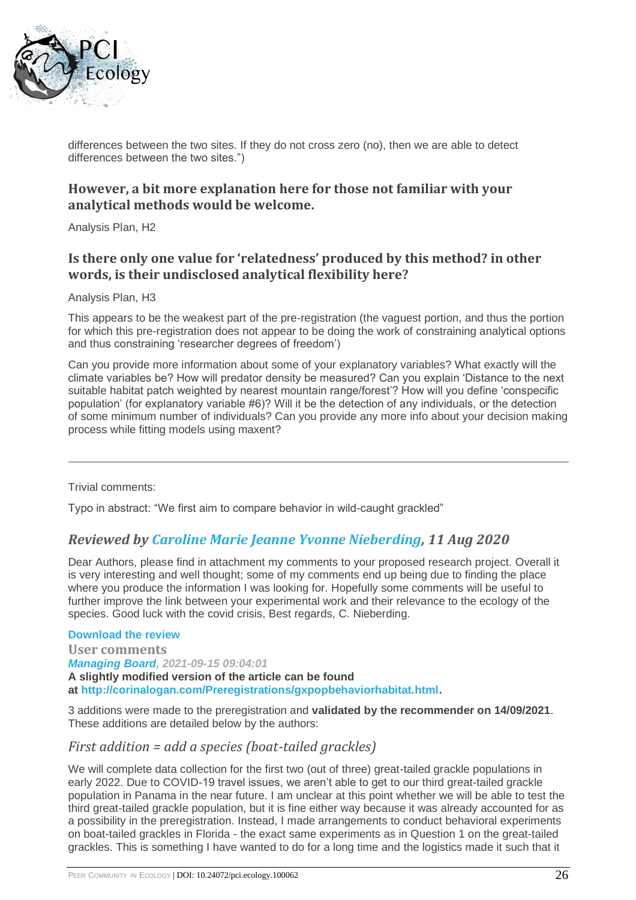

differences between the two sites. If they do not cross zero (no), then we are able to detect differences between the two sites.")

### **However, a bit more explanation here for those not familiar with your analytical methods would be welcome.**

Analysis Plan, H2

# **Is there only one value for 'relatedness' produced by this method? in other words, is their undisclosed analytical flexibility here?**

Analysis Plan, H3

This appears to be the weakest part of the pre-registration (the vaguest portion, and thus the portion for which this pre-registration does not appear to be doing the work of constraining analytical options and thus constraining 'researcher degrees of freedom')

Can you provide more information about some of your explanatory variables? What exactly will the climate variables be? How will predator density be measured? Can you explain 'Distance to the next suitable habitat patch weighted by nearest mountain range/forest'? How will you define 'conspecific population' (for explanatory variable #6)? Will it be the detection of any individuals, or the detection of some minimum number of individuals? Can you provide any more info about your decision making process while fitting models using maxent?

Trivial comments:

Typo in abstract: "We first aim to compare behavior in wild-caught grackled"

### *Reviewed by [Caroline Marie Jeanne Yvonne Nieberding,](https://ecology.peercommunityin.org/public/user_public_page?userId=82) 11 Aug 2020*

Dear Authors, please find in attachment my comments to your proposed research project. Overall it is very interesting and well thought; some of my comments end up being due to finding the place where you produce the information I was looking for. Hopefully some comments will be useful to further improve the link between your experimental work and their relevance to the ecology of the species. Good luck with the covid crisis, Best regards, C. Nieberding.

**[Download the review](https://ecology.peercommunityin.org/download/t_reviews.review_pdf.b9d8bf5030cf5f4b.6c6f67616e5f5043492045636f6c6f67795f323032305f7265766965772e706466.pdf)**

**User comments** *[Managing Board,](https://ecology.peercommunityin.org/public/user_public_page?userId=1852) 2021-09-15 09:04:01* **A slightly modified version of the article can be found at [http://corinalogan.com/Preregistrations/gxpopbehaviorhabitat.html.](http://corinalogan.com/Preregistrations/gxpopbehaviorhabitat.html)**

3 additions were made to the preregistration and **validated by the recommender on 14/09/2021**. These additions are detailed below by the authors:

### *First addition = add a species (boat-tailed grackles)*

We will complete data collection for the first two (out of three) great-tailed grackle populations in early 2022. Due to COVID-19 travel issues, we aren't able to get to our third great-tailed grackle population in Panama in the near future. I am unclear at this point whether we will be able to test the third great-tailed grackle population, but it is fine either way because it was already accounted for as a possibility in the preregistration. Instead, I made arrangements to conduct behavioral experiments on boat-tailed grackles in Florida - the exact same experiments as in Question 1 on the great-tailed grackles. This is something I have wanted to do for a long time and the logistics made it such that it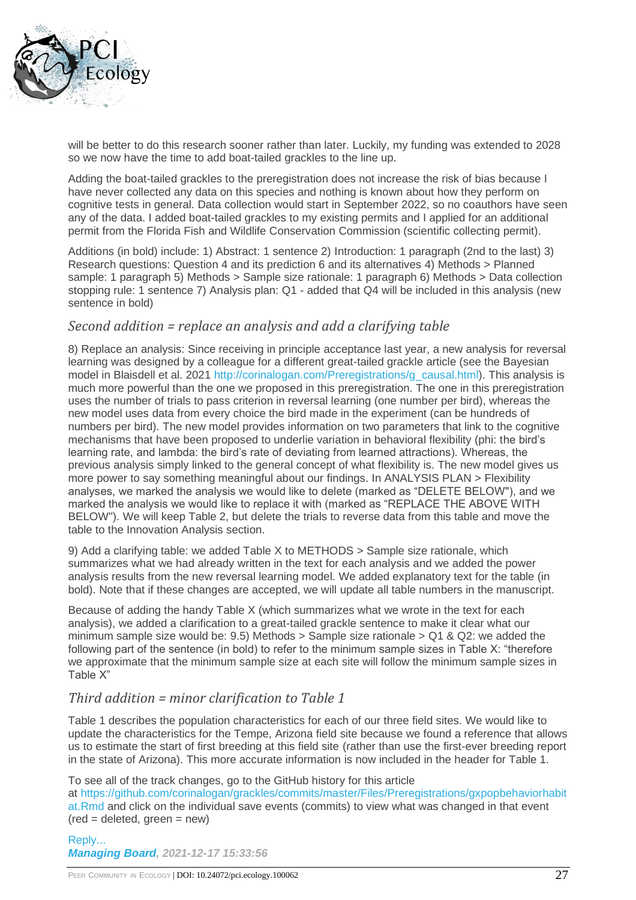

will be better to do this research sooner rather than later. Luckily, my funding was extended to 2028 so we now have the time to add boat-tailed grackles to the line up.

Adding the boat-tailed grackles to the preregistration does not increase the risk of bias because I have never collected any data on this species and nothing is known about how they perform on cognitive tests in general. Data collection would start in September 2022, so no coauthors have seen any of the data. I added boat-tailed grackles to my existing permits and I applied for an additional permit from the Florida Fish and Wildlife Conservation Commission (scientific collecting permit).

Additions (in bold) include: 1) Abstract: 1 sentence 2) Introduction: 1 paragraph (2nd to the last) 3) Research questions: Question 4 and its prediction 6 and its alternatives 4) Methods > Planned sample: 1 paragraph 5) Methods > Sample size rationale: 1 paragraph 6) Methods > Data collection stopping rule: 1 sentence 7) Analysis plan: Q1 - added that Q4 will be included in this analysis (new sentence in bold)

### *Second addition = replace an analysis and add a clarifying table*

8) Replace an analysis: Since receiving in principle acceptance last year, a new analysis for reversal learning was designed by a colleague for a different great-tailed grackle article (see the Bayesian model in Blaisdell et al. 2021 [http://corinalogan.com/Preregistrations/g\\_causal.html\)](http://corinalogan.com/Preregistrations/g_causal.html). This analysis is much more powerful than the one we proposed in this preregistration. The one in this preregistration uses the number of trials to pass criterion in reversal learning (one number per bird), whereas the new model uses data from every choice the bird made in the experiment (can be hundreds of numbers per bird). The new model provides information on two parameters that link to the cognitive mechanisms that have been proposed to underlie variation in behavioral flexibility (phi: the bird's learning rate, and lambda: the bird's rate of deviating from learned attractions). Whereas, the previous analysis simply linked to the general concept of what flexibility is. The new model gives us more power to say something meaningful about our findings. In ANALYSIS PLAN > Flexibility analyses, we marked the analysis we would like to delete (marked as "DELETE BELOW"), and we marked the analysis we would like to replace it with (marked as "REPLACE THE ABOVE WITH BELOW"). We will keep Table 2, but delete the trials to reverse data from this table and move the table to the Innovation Analysis section.

9) Add a clarifying table: we added Table X to METHODS > Sample size rationale, which summarizes what we had already written in the text for each analysis and we added the power analysis results from the new reversal learning model. We added explanatory text for the table (in bold). Note that if these changes are accepted, we will update all table numbers in the manuscript.

Because of adding the handy Table X (which summarizes what we wrote in the text for each analysis), we added a clarification to a great-tailed grackle sentence to make it clear what our minimum sample size would be:  $9.5$ ) Methods > Sample size rationale >  $Q1 & Q2$ : we added the following part of the sentence (in bold) to refer to the minimum sample sizes in Table X: "therefore we approximate that the minimum sample size at each site will follow the minimum sample sizes in Table X"

### *Third addition = minor clarification to Table 1*

Table 1 describes the population characteristics for each of our three field sites. We would like to update the characteristics for the Tempe, Arizona field site because we found a reference that allows us to estimate the start of first breeding at this field site (rather than use the first-ever breeding report in the state of Arizona). This more accurate information is now included in the header for Table 1.

To see all of the track changes, go to the GitHub history for this article

at [https://github.com/corinalogan/grackles/commits/master/Files/Preregistrations/gxpopbehaviorhabit](https://github.com/corinalogan/grackles/commits/master/Files/Preregistrations/gxpopbehaviorhabitat.Rmd) [at.Rmd](https://github.com/corinalogan/grackles/commits/master/Files/Preregistrations/gxpopbehaviorhabitat.Rmd) and click on the individual save events (commits) to view what was changed in that event  $(\text{red} = \text{deleted}, \text{green} = \text{new})$ 

[Reply...](https://ecology.peercommunityin.org/articles/rec?articleId=98&comments=True&replyTo=1) *[Managing Board,](https://ecology.peercommunityin.org/public/user_public_page?userId=1852) 2021-12-17 15:33:56*